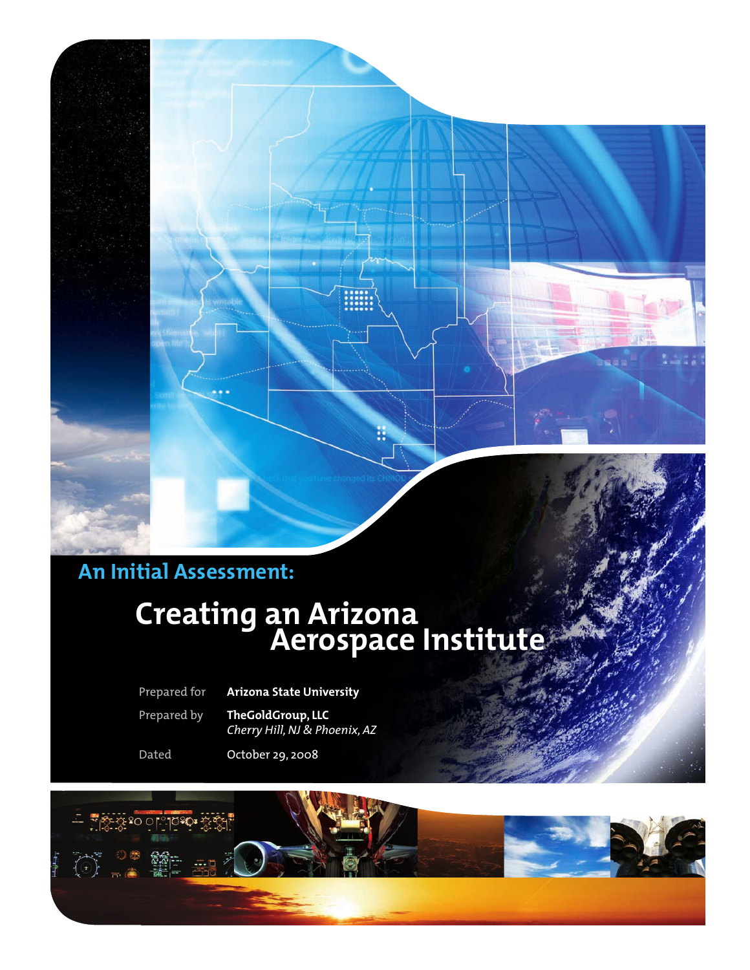

## **Creating an Arizona Aerospace Institute**

Prepared for **Arizona State University** 

Prepared by **TheGoldGroup, LLC**  *Cherry Hill, NJ & Phoenix, AZ*

Dated October 29, 2008

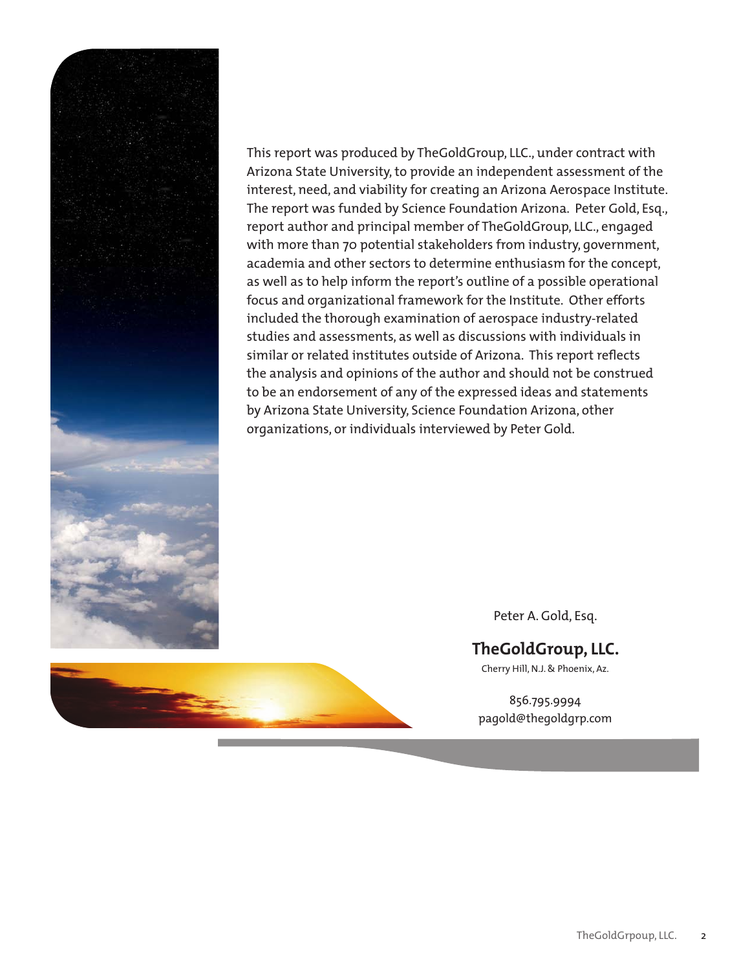

This report was produced by TheGoldGroup, LLC., under contract with Arizona State University, to provide an independent assessment of the interest, need, and viability for creating an Arizona Aerospace Institute. The report was funded by Science Foundation Arizona. Peter Gold, Esq., report author and principal member of TheGoldGroup, LLC., engaged with more than 70 potential stakeholders from industry, government, academia and other sectors to determine enthusiasm for the concept, as well as to help inform the report's outline of a possible operational focus and organizational framework for the Institute. Other efforts included the thorough examination of aerospace industry-related studies and assessments, as well as discussions with individuals in similar or related institutes outside of Arizona. This report reflects the analysis and opinions of the author and should not be construed to be an endorsement of any of the expressed ideas and statements by Arizona State University, Science Foundation Arizona, other organizations, or individuals interviewed by Peter Gold.



#### **TheGoldGroup, LLC.**

Cherry Hill, N.J. & Phoenix, Az.

856.795.9994 pagold@thegoldgrp.com

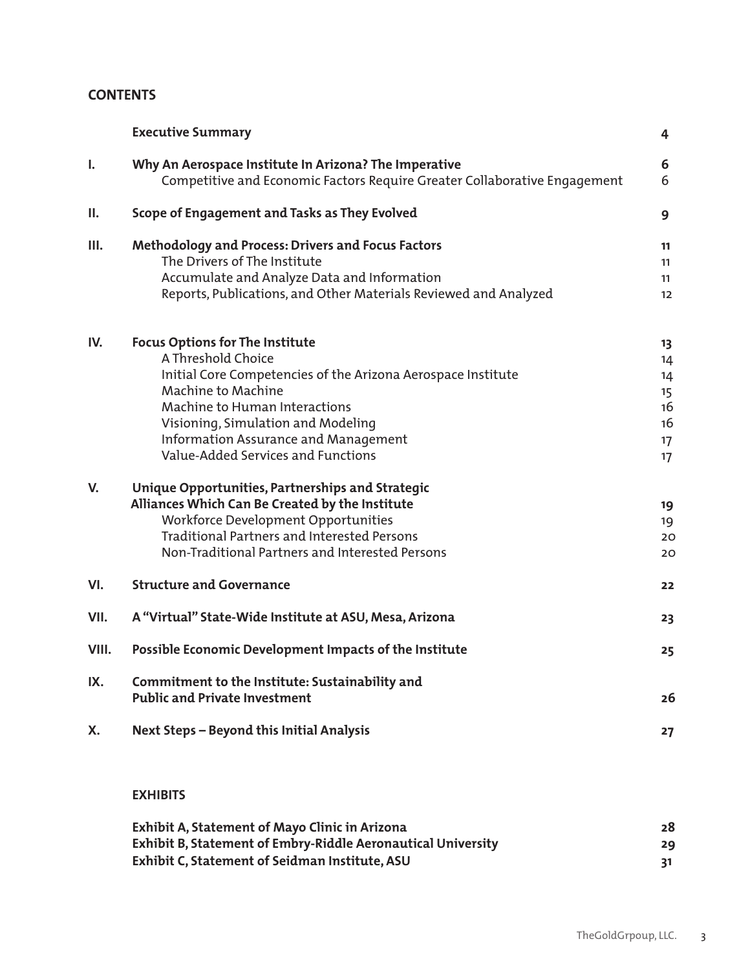#### **CONTENTS**

|       | <b>Executive Summary</b>                                                                                                                                                                                                                                                                                       | 4                                            |
|-------|----------------------------------------------------------------------------------------------------------------------------------------------------------------------------------------------------------------------------------------------------------------------------------------------------------------|----------------------------------------------|
| ı.    | Why An Aerospace Institute In Arizona? The Imperative<br>Competitive and Economic Factors Require Greater Collaborative Engagement                                                                                                                                                                             | 6<br>6                                       |
| Ш.    | Scope of Engagement and Tasks as They Evolved                                                                                                                                                                                                                                                                  | 9                                            |
| Ш.    | Methodology and Process: Drivers and Focus Factors<br>The Drivers of The Institute<br>Accumulate and Analyze Data and Information<br>Reports, Publications, and Other Materials Reviewed and Analyzed                                                                                                          | 11<br>11<br>11<br>12                         |
| IV.   | <b>Focus Options for The Institute</b><br>A Threshold Choice<br>Initial Core Competencies of the Arizona Aerospace Institute<br>Machine to Machine<br><b>Machine to Human Interactions</b><br>Visioning, Simulation and Modeling<br>Information Assurance and Management<br>Value-Added Services and Functions | 13<br>14<br>14<br>15<br>16<br>16<br>17<br>17 |
| V.    | Unique Opportunities, Partnerships and Strategic<br>Alliances Which Can Be Created by the Institute<br><b>Workforce Development Opportunities</b><br><b>Traditional Partners and Interested Persons</b><br>Non-Traditional Partners and Interested Persons                                                     | 19<br>19<br>20<br>20                         |
| VI.   | <b>Structure and Governance</b>                                                                                                                                                                                                                                                                                | 22                                           |
| VII.  | A "Virtual" State-Wide Institute at ASU, Mesa, Arizona                                                                                                                                                                                                                                                         | 23                                           |
| VIII. | Possible Economic Development Impacts of the Institute                                                                                                                                                                                                                                                         | 25                                           |
| IX.   | Commitment to the Institute: Sustainability and<br><b>Public and Private Investment</b>                                                                                                                                                                                                                        | 26                                           |
| Χ.    | Next Steps - Beyond this Initial Analysis                                                                                                                                                                                                                                                                      | 27                                           |
|       | <b>EXHIBITS</b>                                                                                                                                                                                                                                                                                                |                                              |

| <b>Exhibit A, Statement of Mayo Clinic in Arizona</b>        | 28 |
|--------------------------------------------------------------|----|
| Exhibit B, Statement of Embry-Riddle Aeronautical University | 29 |
| Exhibit C, Statement of Seidman Institute, ASU               |    |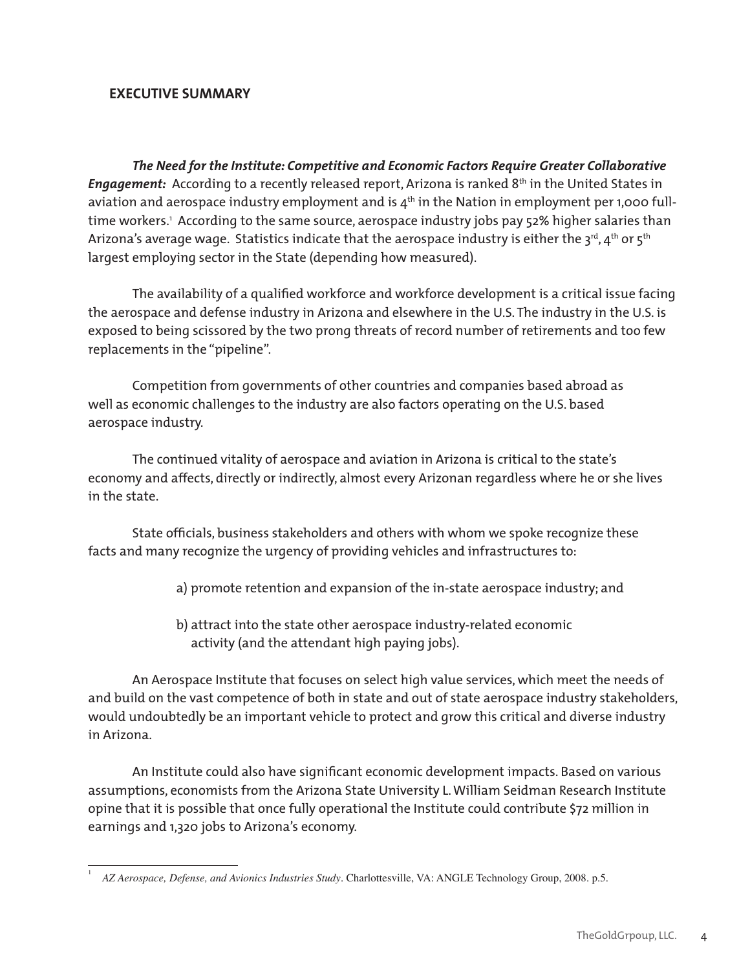#### **EXECUTIVE SUMMARY**

*The Need for the Institute: Competitive and Economic Factors Require Greater Collaborative Engagement:* According to a recently released report, Arizona is ranked 8<sup>th</sup> in the United States in aviation and aerospace industry employment and is  $4<sup>th</sup>$  in the Nation in employment per 1,000 fulltime workers.' According to the same source, aerospace industry jobs pay 52% higher salaries than Arizona's average wage. Statistics indicate that the aerospace industry is either the 3rd, 4<sup>th</sup> or 5<sup>th</sup> largest employing sector in the State (depending how measured).

The availability of a qualified workforce and workforce development is a critical issue facing the aerospace and defense industry in Arizona and elsewhere in the U.S. The industry in the U.S. is exposed to being scissored by the two prong threats of record number of retirements and too few replacements in the "pipeline".

Competition from governments of other countries and companies based abroad as well as economic challenges to the industry are also factors operating on the U.S. based aerospace industry.

The continued vitality of aerospace and aviation in Arizona is critical to the state's economy and affects, directly or indirectly, almost every Arizonan regardless where he or she lives in the state.

State officials, business stakeholders and others with whom we spoke recognize these facts and many recognize the urgency of providing vehicles and infrastructures to:

- a) promote retention and expansion of the in-state aerospace industry; and
- b) attract into the state other aerospace industry-related economic activity (and the attendant high paying jobs).

An Aerospace Institute that focuses on select high value services, which meet the needs of and build on the vast competence of both in state and out of state aerospace industry stakeholders, would undoubtedly be an important vehicle to protect and grow this critical and diverse industry in Arizona.

An Institute could also have significant economic development impacts. Based on various assumptions, economists from the Arizona State University L. William Seidman Research Institute opine that it is possible that once fully operational the Institute could contribute \$72 million in earnings and 1,320 jobs to Arizona's economy.

<sup>1</sup>  *AZ Aerospace, Defense, and Avionics Industries Study*. Charlottesville, VA: ANGLE Technology Group, 2008. p.5.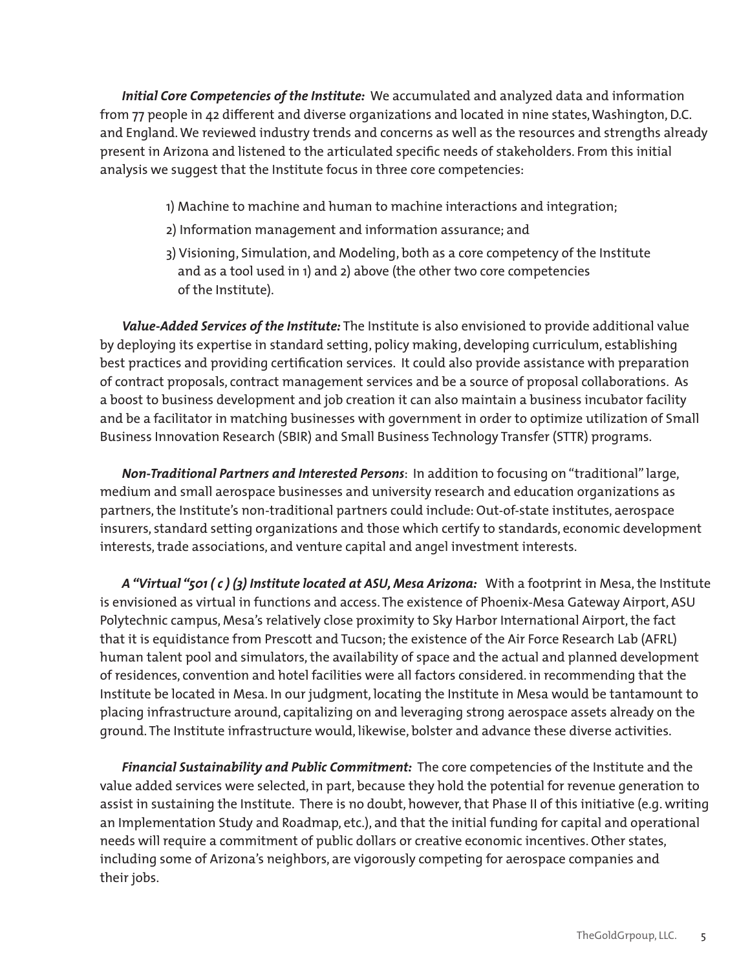*Initial Core Competencies of the Institute:* We accumulated and analyzed data and information from 77 people in 42 different and diverse organizations and located in nine states, Washington, D.C. and England. We reviewed industry trends and concerns as well as the resources and strengths already present in Arizona and listened to the articulated specific needs of stakeholders. From this initial analysis we suggest that the Institute focus in three core competencies:

- 1) Machine to machine and human to machine interactions and integration;
- 2) Information management and information assurance; and
- 3) Visioning, Simulation, and Modeling, both as a core competency of the Institute and as a tool used in 1) and 2) above (the other two core competencies of the Institute).

*Value-Added Services of the Institute:* The Institute is also envisioned to provide additional value by deploying its expertise in standard setting, policy making, developing curriculum, establishing best practices and providing certification services. It could also provide assistance with preparation of contract proposals, contract management services and be a source of proposal collaborations. As a boost to business development and job creation it can also maintain a business incubator facility and be a facilitator in matching businesses with government in order to optimize utilization of Small Business Innovation Research (SBIR) and Small Business Technology Transfer (STTR) programs.

*Non-Traditional Partners and Interested Persons*: In addition to focusing on "traditional" large, medium and small aerospace businesses and university research and education organizations as partners, the Institute's non-traditional partners could include: Out-of-state institutes, aerospace insurers, standard setting organizations and those which certify to standards, economic development interests, trade associations, and venture capital and angel investment interests.

 *A "Virtual "501 ( c ) (3) Institute located at ASU, Mesa Arizona:* With a footprint in Mesa, the Institute is envisioned as virtual in functions and access. The existence of Phoenix-Mesa Gateway Airport, ASU Polytechnic campus, Mesa's relatively close proximity to Sky Harbor International Airport, the fact that it is equidistance from Prescott and Tucson; the existence of the Air Force Research Lab (AFRL) human talent pool and simulators, the availability of space and the actual and planned development of residences, convention and hotel facilities were all factors considered. in recommending that the Institute be located in Mesa. In our judgment, locating the Institute in Mesa would be tantamount to placing infrastructure around, capitalizing on and leveraging strong aerospace assets already on the ground. The Institute infrastructure would, likewise, bolster and advance these diverse activities.

*Financial Sustainability and Public Commitment:* The core competencies of the Institute and the value added services were selected, in part, because they hold the potential for revenue generation to assist in sustaining the Institute. There is no doubt, however, that Phase II of this initiative (e.g. writing an Implementation Study and Roadmap, etc.), and that the initial funding for capital and operational needs will require a commitment of public dollars or creative economic incentives. Other states, including some of Arizona's neighbors, are vigorously competing for aerospace companies and their jobs.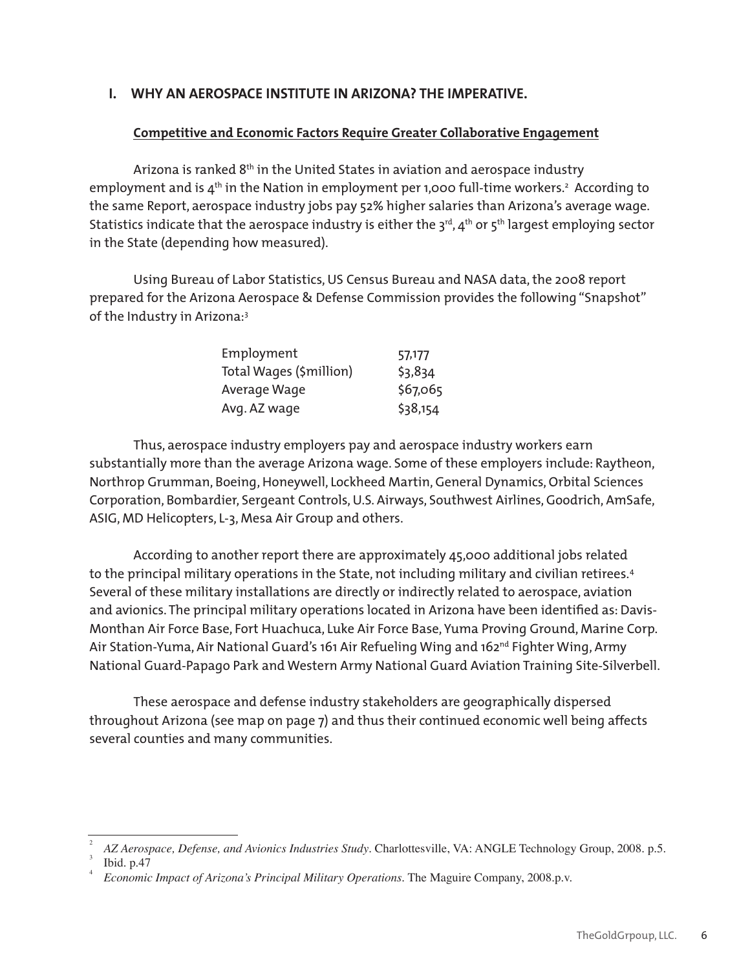#### **I. WHY AN AEROSPACE INSTITUTE IN ARIZONA? THE IMPERATIVE.**

#### **Competitive and Economic Factors Require Greater Collaborative Engagement**

Arizona is ranked 8<sup>th</sup> in the United States in aviation and aerospace industry employment and is 4<sup>th</sup> in the Nation in employment per 1,000 full-time workers.<sup>2</sup> According to the same Report, aerospace industry jobs pay 52% higher salaries than Arizona's average wage. Statistics indicate that the aerospace industry is either the  $3<sup>rd</sup>$ ,  $4<sup>th</sup>$  or  $5<sup>th</sup>$  largest employing sector in the State (depending how measured).

Using Bureau of Labor Statistics, US Census Bureau and NASA data, the 2008 report prepared for the Arizona Aerospace & Defense Commission provides the following "Snapshot" of the Industry in Arizona:<sup>3</sup>

| Employment              | 57,177   |
|-------------------------|----------|
| Total Wages (\$million) | \$3,834  |
| Average Wage            | \$67,065 |
| Avg. AZ wage            | \$38,154 |

Thus, aerospace industry employers pay and aerospace industry workers earn substantially more than the average Arizona wage. Some of these employers include: Raytheon, Northrop Grumman, Boeing, Honeywell, Lockheed Martin, General Dynamics, Orbital Sciences Corporation, Bombardier, Sergeant Controls, U.S. Airways, Southwest Airlines, Goodrich, AmSafe, ASIG, MD Helicopters, L-3, Mesa Air Group and others.

According to another report there are approximately 45,000 additional jobs related to the principal military operations in the State, not including military and civilian retirees.<sup>4</sup> Several of these military installations are directly or indirectly related to aerospace, aviation and avionics. The principal military operations located in Arizona have been identified as: Davis-Monthan Air Force Base, Fort Huachuca, Luke Air Force Base, Yuma Proving Ground, Marine Corp. Air Station-Yuma, Air National Guard's 161 Air Refueling Wing and 162<sup>nd</sup> Fighter Wing, Army National Guard-Papago Park and Western Army National Guard Aviation Training Site-Silverbell.

These aerospace and defense industry stakeholders are geographically dispersed throughout Arizona (see map on page 7) and thus their continued economic well being affects several counties and many communities.

<sup>2</sup> AZ Aerospace, Defense, and Avionics Industries Study. Charlottesville, VA: ANGLE Technology Group, 2008. p.5.

Ibid.  $p.47$ 

*Economic Impact of Arizona's Principal Military Operations*. The Maguire Company, 2008.p.v.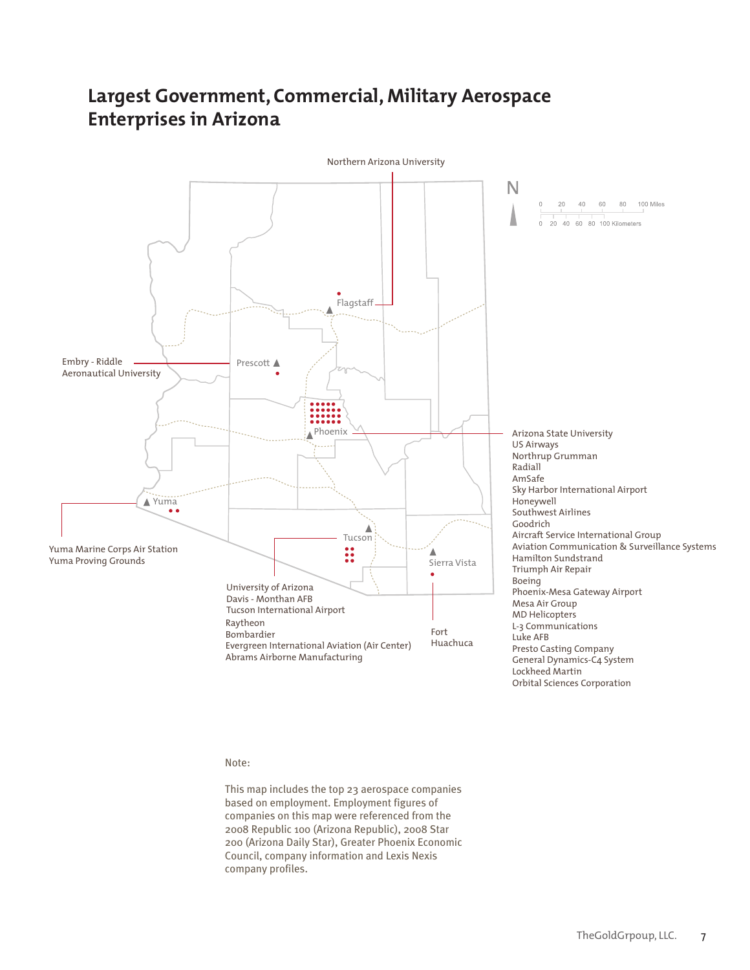## **Largest Government, Commercial, Military Aerospace Enterprises in Arizona**



#### Note:

This map includes the top 23 aerospace companies based on employment. Employment figures of companies on this map were referenced from the 2008 Republic 100 (Arizona Republic), 2008 Star 200 (Arizona Daily Star), Greater Phoenix Economic Council, company information and Lexis Nexis company profiles.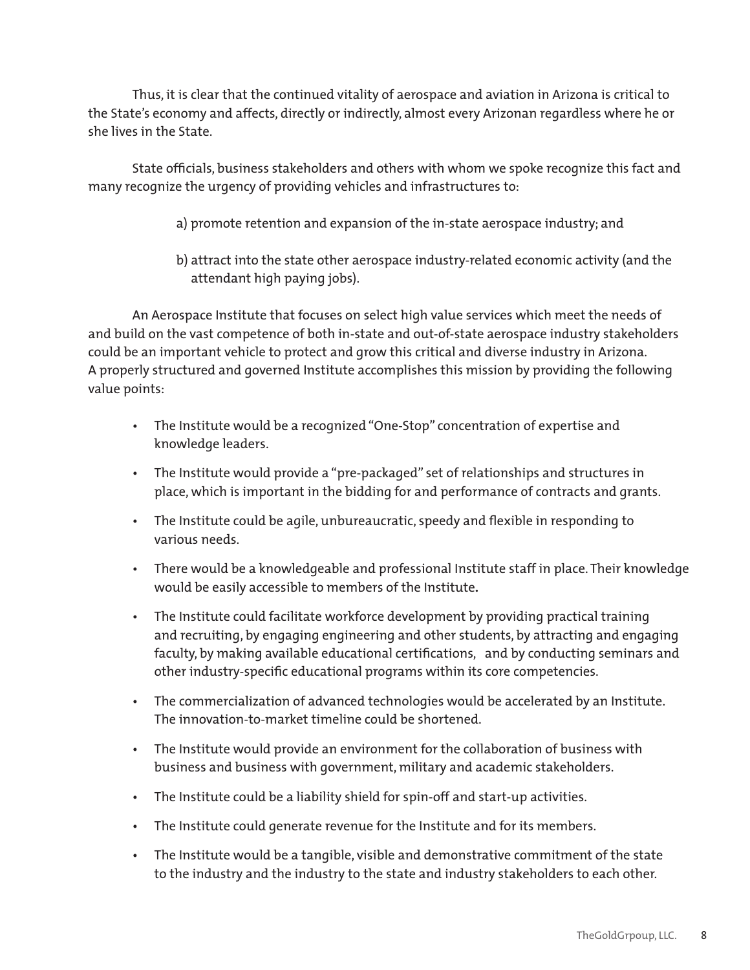Thus, it is clear that the continued vitality of aerospace and aviation in Arizona is critical to the State's economy and affects, directly or indirectly, almost every Arizonan regardless where he or she lives in the State.

State officials, business stakeholders and others with whom we spoke recognize this fact and many recognize the urgency of providing vehicles and infrastructures to:

- a) promote retention and expansion of the in-state aerospace industry; and
- b) attract into the state other aerospace industry-related economic activity (and the attendant high paying jobs).

An Aerospace Institute that focuses on select high value services which meet the needs of and build on the vast competence of both in-state and out-of-state aerospace industry stakeholders could be an important vehicle to protect and grow this critical and diverse industry in Arizona. A properly structured and governed Institute accomplishes this mission by providing the following value points:

- The Institute would be a recognized "One-Stop" concentration of expertise and knowledge leaders.
- The Institute would provide a "pre-packaged" set of relationships and structures in place, which is important in the bidding for and performance of contracts and grants.
- The Institute could be agile, unbureaucratic, speedy and flexible in responding to various needs.
- There would be a knowledgeable and professional Institute staff in place. Their knowledge would be easily accessible to members of the Institute**.**
- The Institute could facilitate workforce development by providing practical training and recruiting, by engaging engineering and other students, by attracting and engaging faculty, by making available educational certifications, and by conducting seminars and other industry-specific educational programs within its core competencies.
- The commercialization of advanced technologies would be accelerated by an Institute. The innovation-to-market timeline could be shortened.
- The Institute would provide an environment for the collaboration of business with business and business with government, military and academic stakeholders.
- The Institute could be a liability shield for spin-off and start-up activities.
- The Institute could generate revenue for the Institute and for its members.
- The Institute would be a tangible, visible and demonstrative commitment of the state to the industry and the industry to the state and industry stakeholders to each other.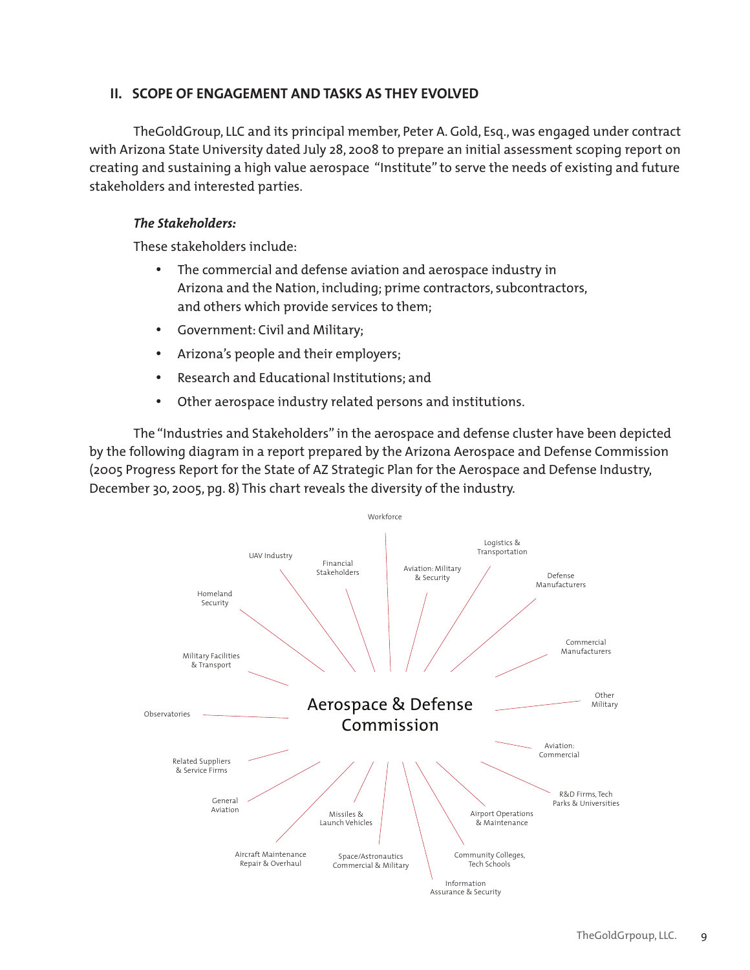#### **II. SCOPE OF ENGAGEMENT AND TASKS AS THEY EVOLVED**

TheGoldGroup, LLC and its principal member, Peter A. Gold, Esq., was engaged under contract with Arizona State University dated July 28, 2008 to prepare an initial assessment scoping report on creating and sustaining a high value aerospace "Institute" to serve the needs of existing and future stakeholders and interested parties.

#### *The Stakeholders:*

These stakeholders include:

- The commercial and defense aviation and aerospace industry in Arizona and the Nation, including; prime contractors, subcontractors, and others which provide services to them;
- • Government: Civil and Military;
- • Arizona's people and their employers;
- Research and Educational Institutions; and
- Other aerospace industry related persons and institutions.

The "Industries and Stakeholders" in the aerospace and defense cluster have been depicted by the following diagram in a report prepared by the Arizona Aerospace and Defense Commission (2005 Progress Report for the State of AZ Strategic Plan for the Aerospace and Defense Industry, December 30, 2005, pg. 8) This chart reveals the diversity of the industry.

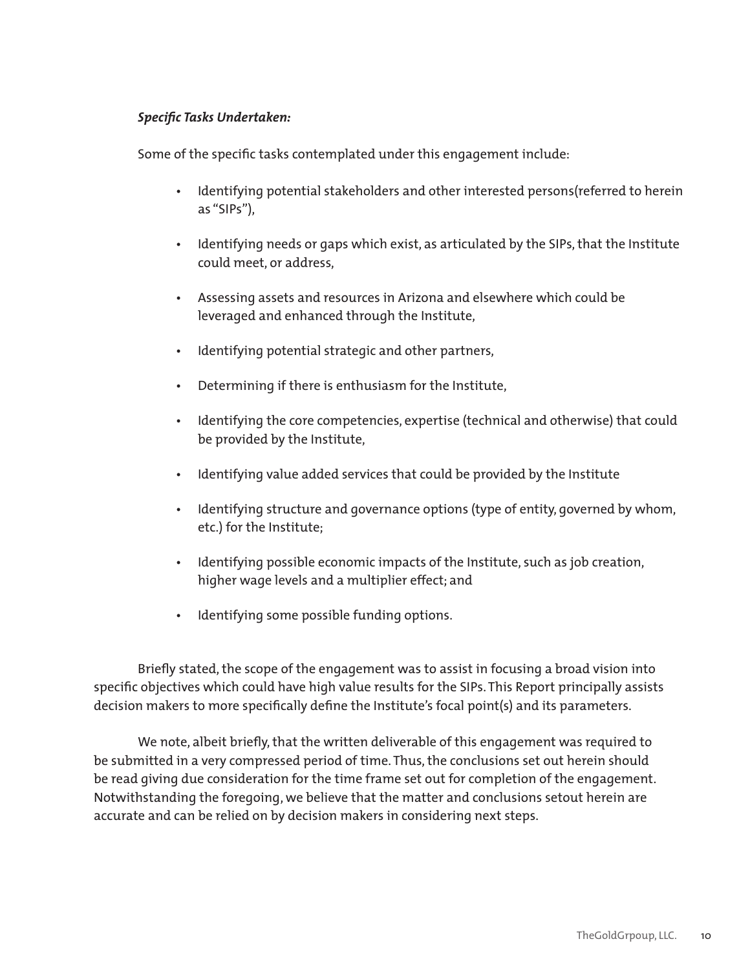#### *Specific Tasks Undertaken:*

Some of the specific tasks contemplated under this engagement include:

- Identifying potential stakeholders and other interested persons(referred to herein as "SIPs"),
- Identifying needs or gaps which exist, as articulated by the SIPs, that the Institute could meet, or address,
- Assessing assets and resources in Arizona and elsewhere which could be leveraged and enhanced through the Institute,
- Identifying potential strategic and other partners,
- Determining if there is enthusiasm for the Institute,
- Identifying the core competencies, expertise (technical and otherwise) that could be provided by the Institute,
- Identifying value added services that could be provided by the Institute
- Identifying structure and governance options (type of entity, governed by whom, etc.) for the Institute;
- Identifying possible economic impacts of the Institute, such as job creation, higher wage levels and a multiplier effect; and
- Identifying some possible funding options.

 Briefly stated, the scope of the engagement was to assist in focusing a broad vision into specific objectives which could have high value results for the SIPs. This Report principally assists decision makers to more specifically define the Institute's focal point(s) and its parameters.

 We note, albeit briefly, that the written deliverable of this engagement was required to be submitted in a very compressed period of time. Thus, the conclusions set out herein should be read giving due consideration for the time frame set out for completion of the engagement. Notwithstanding the foregoing, we believe that the matter and conclusions setout herein are accurate and can be relied on by decision makers in considering next steps.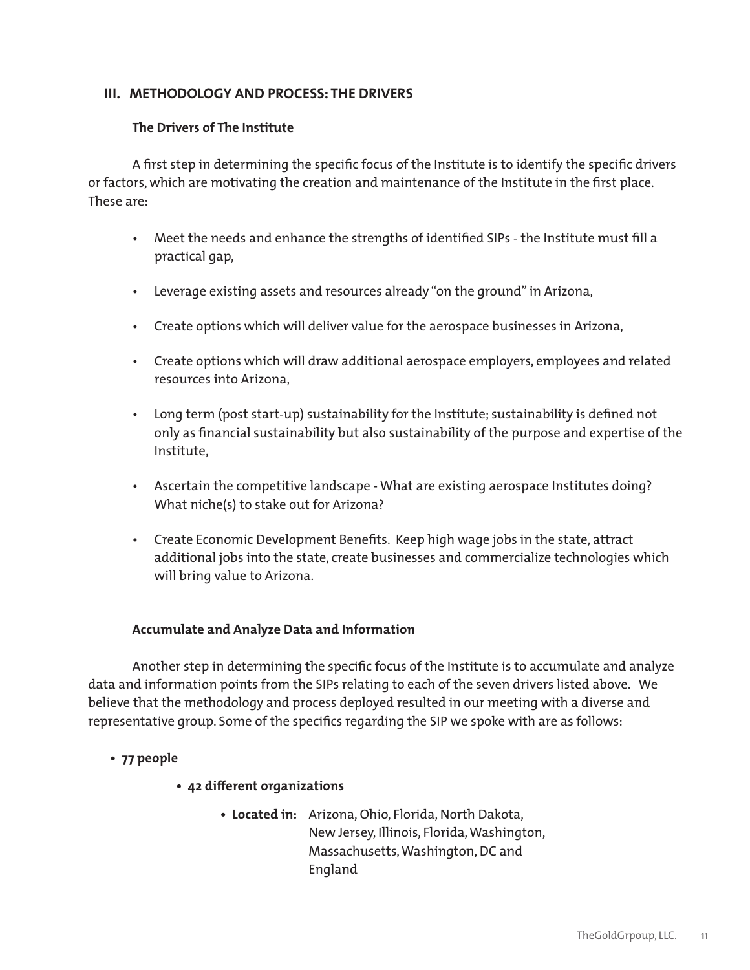#### **III. METHODOLOGY AND PROCESS: THE DRIVERS**

#### **The Drivers of The Institute**

A first step in determining the specific focus of the Institute is to identify the specific drivers or factors, which are motivating the creation and maintenance of the Institute in the first place. These are:

- Meet the needs and enhance the strengths of identified SIPs the Institute must fill a practical gap,
- Leverage existing assets and resources already "on the ground" in Arizona,
- Create options which will deliver value for the aerospace businesses in Arizona,
- Create options which will draw additional aerospace employers, employees and related resources into Arizona,
- Long term (post start-up) sustainability for the Institute; sustainability is defined not only as financial sustainability but also sustainability of the purpose and expertise of the Institute,
- Ascertain the competitive landscape What are existing aerospace Institutes doing? What niche(s) to stake out for Arizona?
- Create Economic Development Benefits. Keep high wage jobs in the state, attract additional jobs into the state, create businesses and commercialize technologies which will bring value to Arizona.

#### **Accumulate and Analyze Data and Information**

Another step in determining the specific focus of the Institute is to accumulate and analyze data and information points from the SIPs relating to each of the seven drivers listed above. We believe that the methodology and process deployed resulted in our meeting with a diverse and representative group. Some of the specifics regarding the SIP we spoke with are as follows:

## **• 77 people**

- **42 different organizations**
	- **Located in:** Arizona, Ohio, Florida, North Dakota, New Jersey, Illinois, Florida, Washington, Massachusetts, Washington, DC and England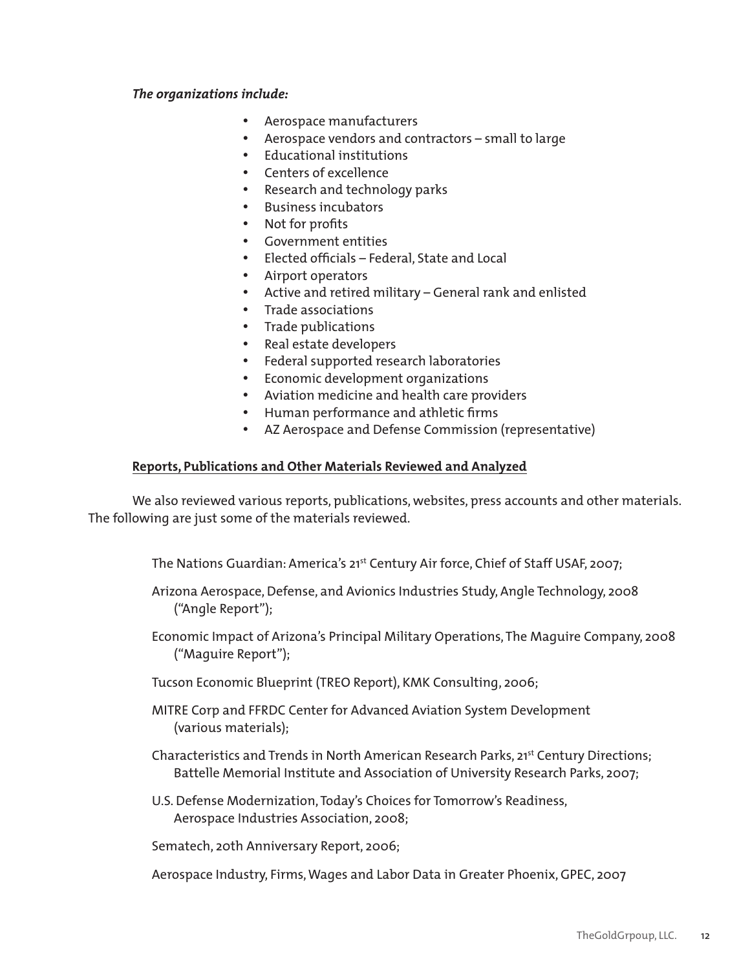#### *The organizations include:*

- • Aerospace manufacturers
- • Aerospace vendors and contractors small to large
- • Educational institutions
- • Centers of excellence
- • Research and technology parks
- • Business incubators
- • Not for profits
- • Government entities
- • Elected officials Federal, State and Local
- • Airport operators
- • Active and retired military General rank and enlisted
- • Trade associations
- • Trade publications
- • Real estate developers
- • Federal supported research laboratories
- • Economic development organizations
- • Aviation medicine and health care providers
- • Human performance and athletic firms
- • AZ Aerospace and Defense Commission (representative)

#### **Reports, Publications and Other Materials Reviewed and Analyzed**

We also reviewed various reports, publications, websites, press accounts and other materials. The following are just some of the materials reviewed.

The Nations Guardian: America's 21st Century Air force, Chief of Staff USAF, 2007;

- Arizona Aerospace, Defense, and Avionics Industries Study, Angle Technology, 2008 ("Angle Report");
- Economic Impact of Arizona's Principal Military Operations, The Maguire Company, 2008 ("Maguire Report");
- Tucson Economic Blueprint (TREO Report), KMK Consulting, 2006;
- MITRE Corp and FFRDC Center for Advanced Aviation System Development (various materials);
- Characteristics and Trends in North American Research Parks, 21<sup>st</sup> Century Directions; Battelle Memorial Institute and Association of University Research Parks, 2007;
- U.S. Defense Modernization, Today's Choices for Tomorrow's Readiness, Aerospace Industries Association, 2008;

Sematech, 20th Anniversary Report, 2006;

Aerospace Industry, Firms, Wages and Labor Data in Greater Phoenix, GPEC, 2007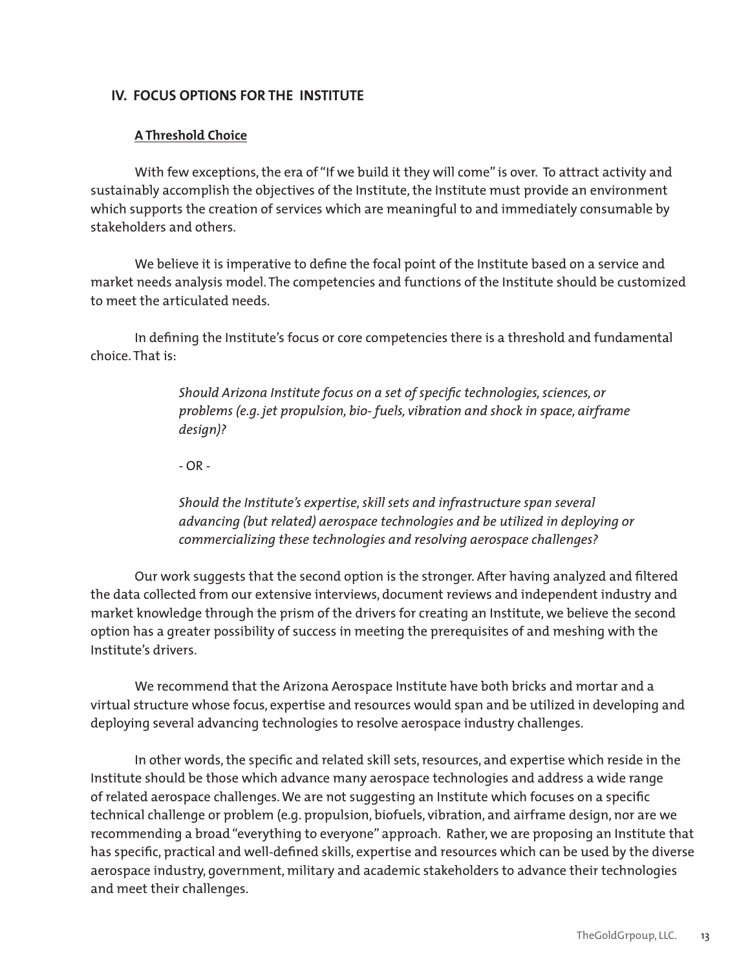#### **IV. FOCUS OPTIONS FOR THE INSTITUTE**

#### **A Threshold Choice**

With few exceptions, the era of "If we build it they will come" is over. To attract activity and sustainably accomplish the objectives of the Institute, the Institute must provide an environment which supports the creation of services which are meaningful to and immediately consumable by stakeholders and others.

We believe it is imperative to define the focal point of the Institute based on a service and market needs analysis model. The competencies and functions of the Institute should be customized to meet the articulated needs.

In defining the Institute's focus or core competencies there is a threshold and fundamental choice. That is:

> Should Arizona Institute focus on a set of specific technologies, sciences, or problems (e.g. jet propulsion, bio- fuels, vibration and shock in space, airframe *design)?*

- OR -

*Should the Institute's expertise, skill sets and infrastructure span several* advancing (but related) aerospace technologies and be utilized in deploying or commercializing these technologies and resolving aerospace challenges?

Our work suggests that the second option is the stronger. After having analyzed and filtered the data collected from our extensive interviews, document reviews and independent industry and market knowledge through the prism of the drivers for creating an Institute, we believe the second option has a greater possibility of success in meeting the prerequisites of and meshing with the Institute's drivers.

We recommend that the Arizona Aerospace Institute have both bricks and mortar and a virtual structure whose focus, expertise and resources would span and be utilized in developing and deploying several advancing technologies to resolve aerospace industry challenges.

In other words, the specific and related skill sets, resources, and expertise which reside in the Institute should be those which advance many aerospace technologies and address a wide range of related aerospace challenges. We are not suggesting an Institute which focuses on a specific technical challenge or problem (e.g. propulsion, biofuels, vibration, and airframe design, nor are we recommending a broad "everything to everyone" approach. Rather, we are proposing an Institute that has specific, practical and well-defined skills, expertise and resources which can be used by the diverse aerospace industry, government, military and academic stakeholders to advance their technologies and meet their challenges.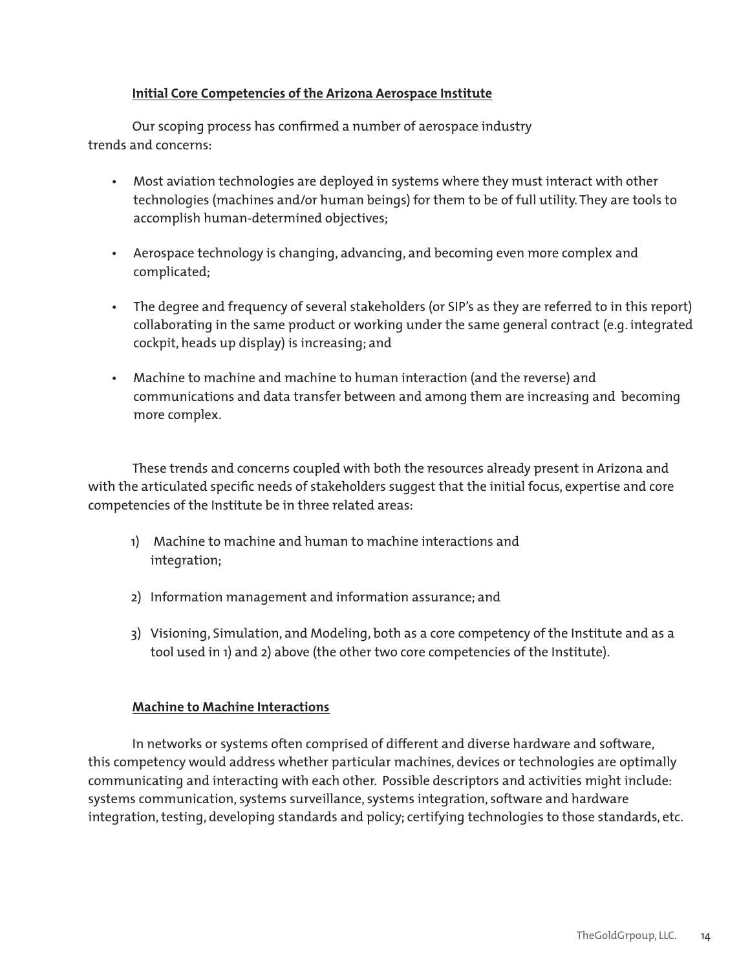#### **Initial Core Competencies of the Arizona Aerospace Institute**

Our scoping process has confirmed a number of aerospace industry trends and concerns:

- Most aviation technologies are deployed in systems where they must interact with other technologies (machines and/or human beings) for them to be of full utility. They are tools to accomplish human-determined objectives;
- Aerospace technology is changing, advancing, and becoming even more complex and complicated;
- The degree and frequency of several stakeholders (or SIP's as they are referred to in this report) collaborating in the same product or working under the same general contract (e.g. integrated cockpit, heads up display) is increasing; and
- Machine to machine and machine to human interaction (and the reverse) and communications and data transfer between and among them are increasing and becoming more complex.

These trends and concerns coupled with both the resources already present in Arizona and with the articulated specific needs of stakeholders suggest that the initial focus, expertise and core competencies of the Institute be in three related areas:

- 1) Machine to machine and human to machine interactions and integration;
- 2) Information management and information assurance; and
- 3) Visioning, Simulation, and Modeling, both as a core competency of the Institute and as a tool used in 1) and 2) above (the other two core competencies of the Institute).

#### **Machine to Machine Interactions**

In networks or systems often comprised of different and diverse hardware and software, this competency would address whether particular machines, devices or technologies are optimally communicating and interacting with each other. Possible descriptors and activities might include: systems communication, systems surveillance, systems integration, software and hardware integration, testing, developing standards and policy; certifying technologies to those standards, etc.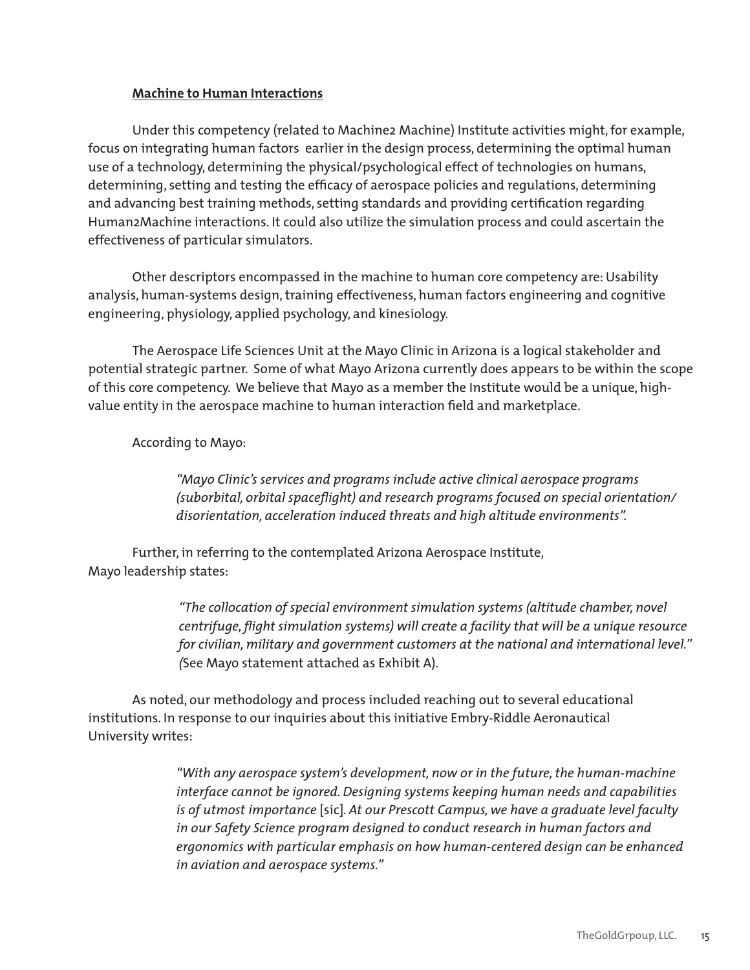#### **Machine to Human Interactions**

Under this competency (related to Machine2 Machine) Institute activities might, for example, focus on integrating human factors earlier in the design process, determining the optimal human use of a technology, determining the physical/psychological effect of technologies on humans, determining, setting and testing the efficacy of aerospace policies and regulations, determining and advancing best training methods, setting standards and providing certification regarding Human2Machine interactions. It could also utilize the simulation process and could ascertain the effectiveness of particular simulators.

Other descriptors encompassed in the machine to human core competency are: Usability analysis, human-systems design, training effectiveness, human factors engineering and cognitive engineering, physiology, applied psychology, and kinesiology.

The Aerospace Life Sciences Unit at the Mayo Clinic in Arizona is a logical stakeholder and potential strategic partner. Some of what Mayo Arizona currently does appears to be within the scope of this core competency. We believe that Mayo as a member the Institute would be a unique, highvalue entity in the aerospace machine to human interaction field and marketplace.

According to Mayo:

"Mayo Clinic's services and programs include active clinical aerospace programs (suborbital, orbital spaceflight) and research programs focused on special orientation/ disorientation, acceleration induced threats and high altitude environments".

 Further, in referring to the contemplated Arizona Aerospace Institute, Mayo leadership states:

> *"The collocation of special environment simulation systems (altitude chamber, novel*  centrifuge, flight simulation systems) will create a facility that will be a unique resource for civilian, military and government customers at the national and international level." *(*See Mayo statement attached as Exhibit A).

As noted, our methodology and process included reaching out to several educational institutions. In response to our inquiries about this initiative Embry-Riddle Aeronautical University writes:

> *"With any aerospace system's development, now or in the future, the human-machine interface cannot be ignored.* Designing systems keeping human needs and capabilities *is* of utmost importance [sic]. At our Prescott Campus, we have a graduate level faculty in our Safety Science program designed to conduct research in human factors and ergonomics with particular emphasis on how human-centered design can be enhanced *in aviation and aerospace systems."*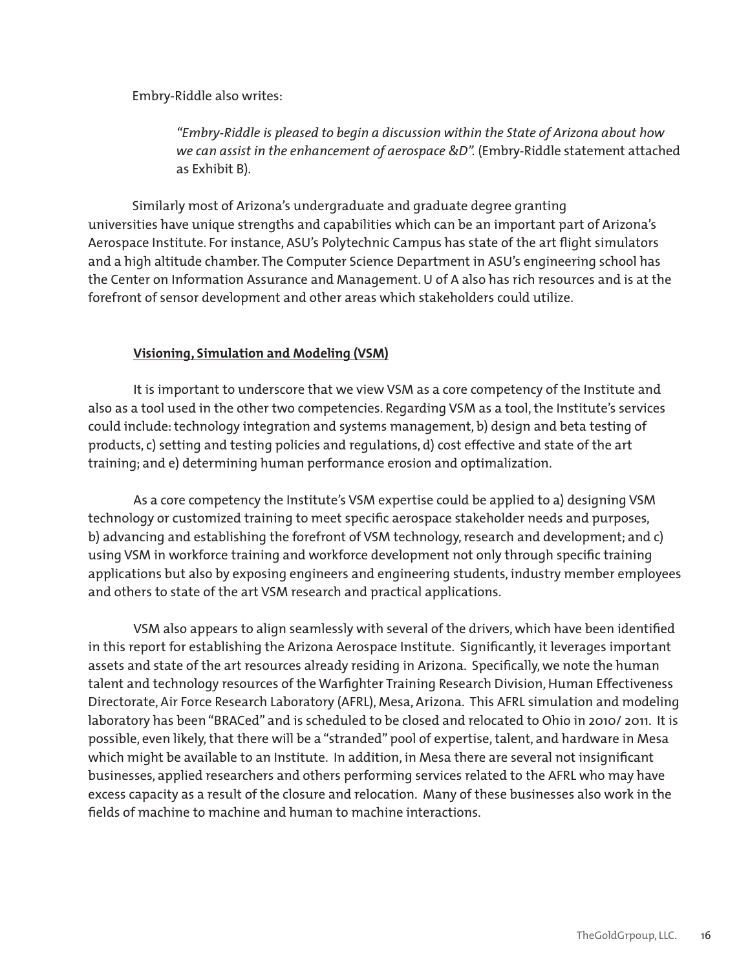Embry-Riddle also writes:

 *"Embry-Riddle is pleased to begin a discussion within the State of Arizona about how we can assist in the enhancement of aerospace &D".* (Embry-Riddle statement attached as Exhibit B).

Similarly most of Arizona's undergraduate and graduate degree granting universities have unique strengths and capabilities which can be an important part of Arizona's Aerospace Institute. For instance, ASU's Polytechnic Campus has state of the art flight simulators and a high altitude chamber. The Computer Science Department in ASU's engineering school has the Center on Information Assurance and Management. U of A also has rich resources and is at the forefront of sensor development and other areas which stakeholders could utilize.

#### **Visioning, Simulation and Modeling (VSM)**

It is important to underscore that we view VSM as a core competency of the Institute and also as a tool used in the other two competencies. Regarding VSM as a tool, the Institute's services could include: technology integration and systems management, b) design and beta testing of products, c) setting and testing policies and regulations, d) cost effective and state of the art training; and e) determining human performance erosion and optimalization.

As a core competency the Institute's VSM expertise could be applied to a) designing VSM technology or customized training to meet specific aerospace stakeholder needs and purposes, b) advancing and establishing the forefront of VSM technology, research and development; and c) using VSM in workforce training and workforce development not only through specific training applications but also by exposing engineers and engineering students, industry member employees and others to state of the art VSM research and practical applications.

VSM also appears to align seamlessly with several of the drivers, which have been identified in this report for establishing the Arizona Aerospace Institute. Significantly, it leverages important assets and state of the art resources already residing in Arizona. Specifically, we note the human talent and technology resources of the Warfighter Training Research Division, Human Effectiveness Directorate, Air Force Research Laboratory (AFRL), Mesa, Arizona. This AFRL simulation and modeling laboratory has been "BRACed" and is scheduled to be closed and relocated to Ohio in 2010/ 2011. It is possible, even likely, that there will be a "stranded" pool of expertise, talent, and hardware in Mesa which might be available to an Institute. In addition, in Mesa there are several not insignificant businesses, applied researchers and others performing services related to the AFRL who may have excess capacity as a result of the closure and relocation. Many of these businesses also work in the fields of machine to machine and human to machine interactions.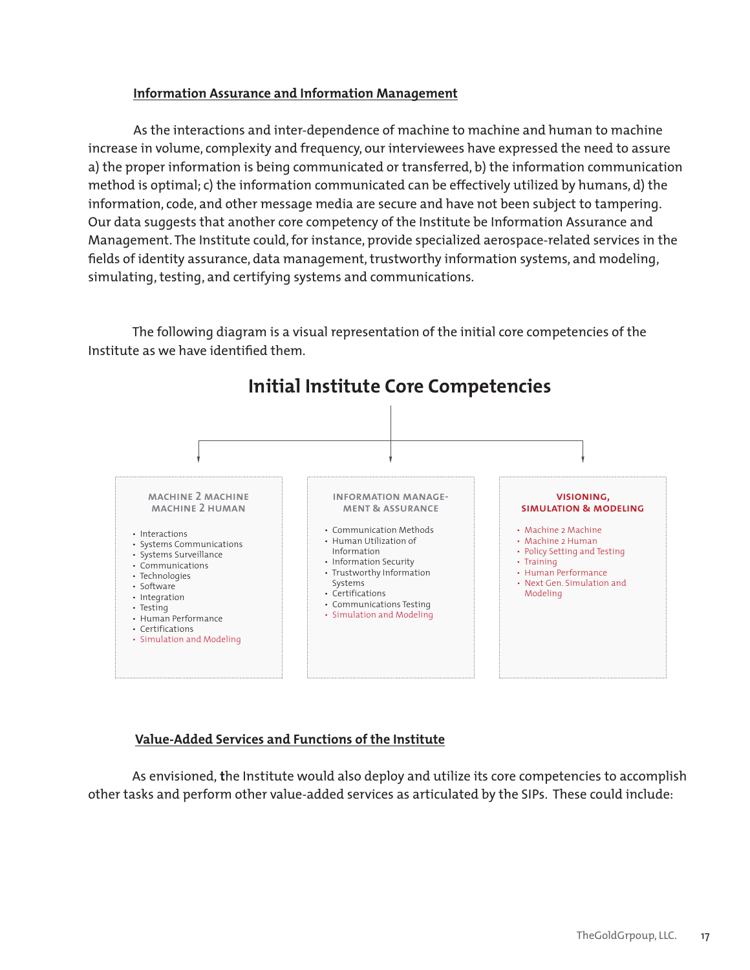#### **Information Assurance and Information Management**

As the interactions and inter-dependence of machine to machine and human to machine increase in volume, complexity and frequency, our interviewees have expressed the need to assure a) the proper information is being communicated or transferred, b) the information communication method is optimal; c) the information communicated can be effectively utilized by humans, d) the information, code, and other message media are secure and have not been subject to tampering. Our data suggests that another core competency of the Institute be Information Assurance and Management. The Institute could, for instance, provide specialized aerospace-related services in the fields of identity assurance, data management, trustworthy information systems, and modeling, simulating, testing, and certifying systems and communications.

The following diagram is a visual representation of the initial core competencies of the Institute as we have identified them.



Initial Institute Core Competencies **Initial Institute Core Competencies**

#### **Value-Added Services and Functions of the Institute**

As envisioned, **t**he Institute would also deploy and utilize its core competencies to accomplish other tasks and perform other value-added services as articulated by the SIPs. These could include: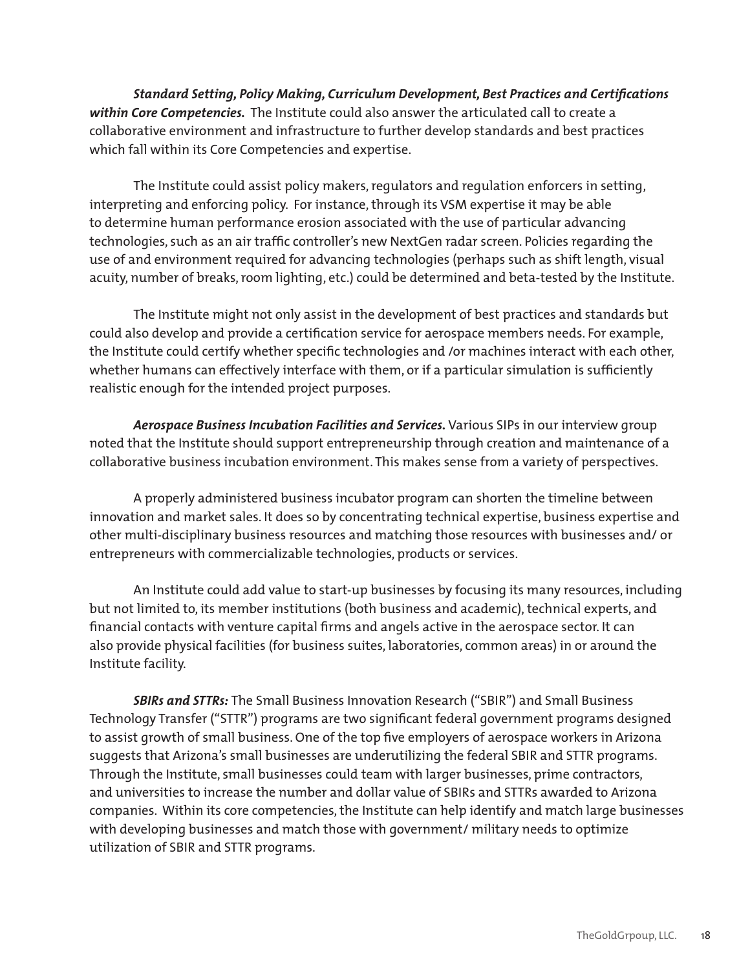*Standard Setting, Policy Making, Curriculum Development, Best Practices and Certifications within Core Competencies.* The Institute could also answer the articulated call to create a collaborative environment and infrastructure to further develop standards and best practices which fall within its Core Competencies and expertise.

The Institute could assist policy makers, regulators and regulation enforcers in setting, interpreting and enforcing policy. For instance, through its VSM expertise it may be able to determine human performance erosion associated with the use of particular advancing technologies, such as an air traffic controller's new NextGen radar screen. Policies regarding the use of and environment required for advancing technologies (perhaps such as shift length, visual acuity, number of breaks, room lighting, etc.) could be determined and beta-tested by the Institute.

The Institute might not only assist in the development of best practices and standards but could also develop and provide a certification service for aerospace members needs. For example, the Institute could certify whether specific technologies and /or machines interact with each other, whether humans can effectively interface with them, or if a particular simulation is sufficiently realistic enough for the intended project purposes.

Aerospace Business Incubation Facilities and Services. Various SIPs in our interview group noted that the Institute should support entrepreneurship through creation and maintenance of a collaborative business incubation environment. This makes sense from a variety of perspectives.

A properly administered business incubator program can shorten the timeline between innovation and market sales. It does so by concentrating technical expertise, business expertise and other multi-disciplinary business resources and matching those resources with businesses and/ or entrepreneurs with commercializable technologies, products or services.

An Institute could add value to start-up businesses by focusing its many resources, including but not limited to, its member institutions (both business and academic), technical experts, and financial contacts with venture capital firms and angels active in the aerospace sector. It can also provide physical facilities (for business suites, laboratories, common areas) in or around the Institute facility.

*SBIRs and STTRs:* The Small Business Innovation Research ("SBIR") and Small Business Technology Transfer ("STTR") programs are two significant federal government programs designed to assist growth of small business. One of the top five employers of aerospace workers in Arizona suggests that Arizona's small businesses are underutilizing the federal SBIR and STTR programs. Through the Institute, small businesses could team with larger businesses, prime contractors, and universities to increase the number and dollar value of SBIRs and STTRs awarded to Arizona companies. Within its core competencies, the Institute can help identify and match large businesses with developing businesses and match those with government/ military needs to optimize utilization of SBIR and STTR programs.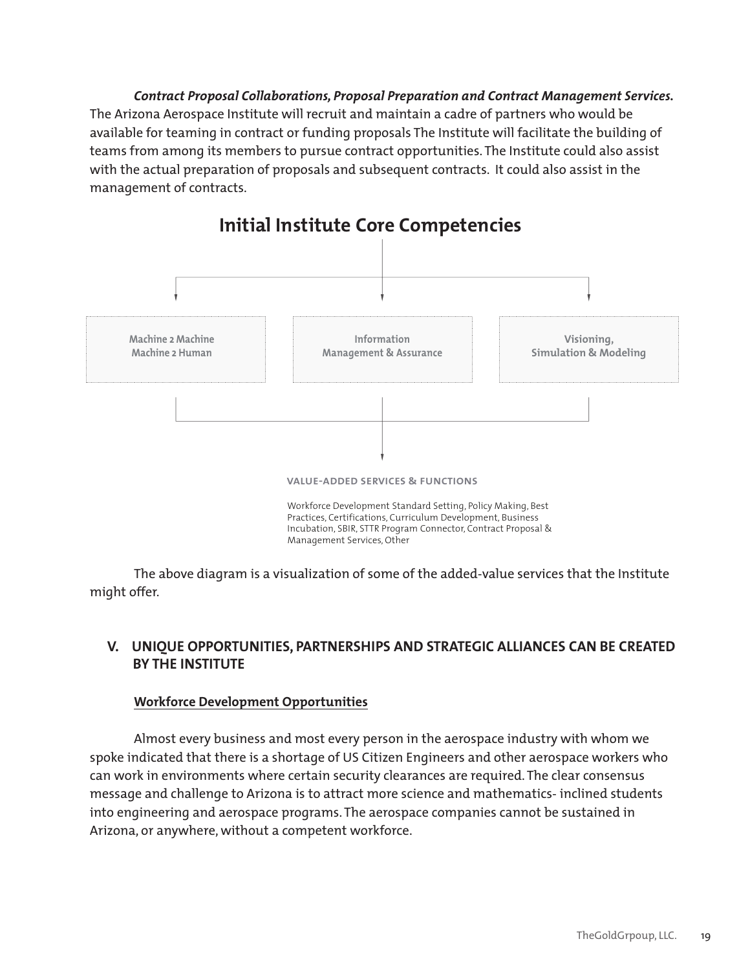*Contract Proposal Collaborations, Proposal Preparation and Contract Management Services.*  The Arizona Aerospace Institute will recruit and maintain a cadre of partners who would be available for teaming in contract or funding proposals The Institute will facilitate the building of teams from among its members to pursue contract opportunities. The Institute could also assist with the actual preparation of proposals and subsequent contracts. It could also assist in the management of contracts.



## Initial Institute Core Competencies **Initial Institute Core Competencies**

 The above diagram is a visualization of some of the added-value services that the Institute might offer.

#### **V. UNIQUE OPPORTUNITIES, PARTNERSHIPS AND STRATEGIC ALLIANCES CAN BE CREATED BY THE INSTITUTE**

#### **Workforce Development Opportunities**

 Almost every business and most every person in the aerospace industry with whom we spoke indicated that there is a shortage of US Citizen Engineers and other aerospace workers who can work in environments where certain security clearances are required. The clear consensus message and challenge to Arizona is to attract more science and mathematics- inclined students into engineering and aerospace programs. The aerospace companies cannot be sustained in Arizona, or anywhere, without a competent workforce.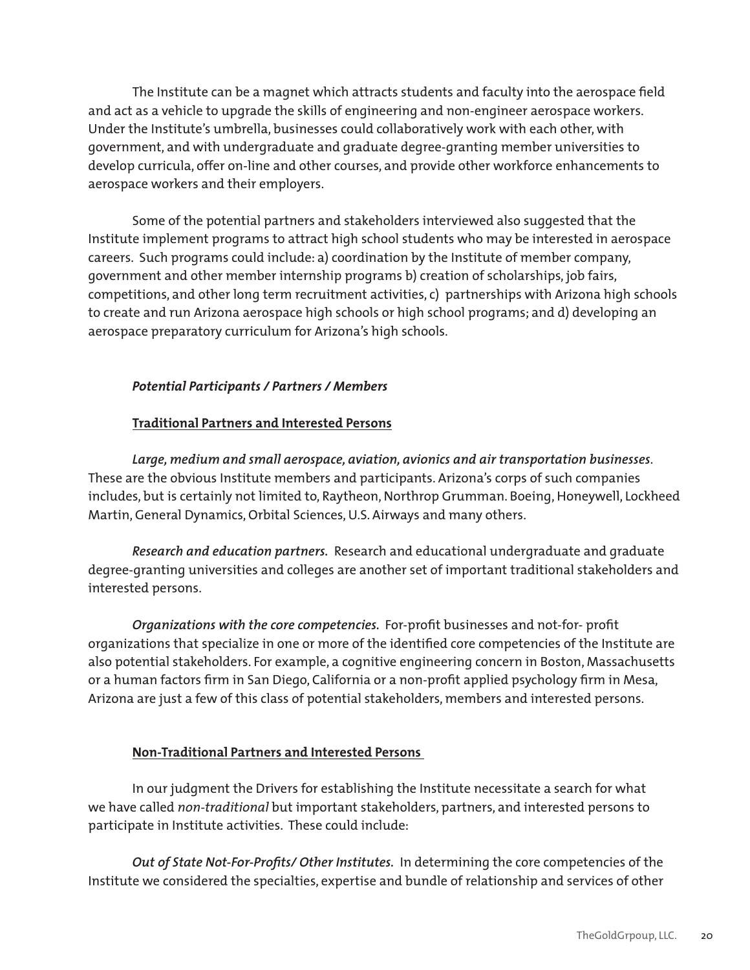The Institute can be a magnet which attracts students and faculty into the aerospace field and act as a vehicle to upgrade the skills of engineering and non-engineer aerospace workers. Under the Institute's umbrella, businesses could collaboratively work with each other, with government, and with undergraduate and graduate degree-granting member universities to develop curricula, offer on-line and other courses, and provide other workforce enhancements to aerospace workers and their employers.

Some of the potential partners and stakeholders interviewed also suggested that the Institute implement programs to attract high school students who may be interested in aerospace careers. Such programs could include: a) coordination by the Institute of member company, government and other member internship programs b) creation of scholarships, job fairs, competitions, and other long term recruitment activities, c) partnerships with Arizona high schools to create and run Arizona aerospace high schools or high school programs; and d) developing an aerospace preparatory curriculum for Arizona's high schools.

#### *Potential Participants / Partners / Members*

#### **Traditional Partners and Interested Persons**

*Large, medium and small aerospace, aviation, avionics and air transportation businesses*. These are the obvious Institute members and participants. Arizona's corps of such companies includes, but is certainly not limited to, Raytheon, Northrop Grumman. Boeing, Honeywell, Lockheed Martin, General Dynamics, Orbital Sciences, U.S. Airways and many others.

*Research and education partners.* Research and educational undergraduate and graduate degree-granting universities and colleges are another set of important traditional stakeholders and interested persons.

*Organizations with the core competencies.* For-profit businesses and not-for- profit organizations that specialize in one or more of the identified core competencies of the Institute are also potential stakeholders. For example, a cognitive engineering concern in Boston, Massachusetts or a human factors firm in San Diego, California or a non-profit applied psychology firm in Mesa, Arizona are just a few of this class of potential stakeholders, members and interested persons.

#### **Non-Traditional Partners and Interested Persons**

In our judgment the Drivers for establishing the Institute necessitate a search for what we have called *non-traditional* but important stakeholders, partners, and interested persons to participate in Institute activities. These could include:

*Out of State Not-For-Profits/ Other Institutes.* In determining the core competencies of the Institute we considered the specialties, expertise and bundle of relationship and services of other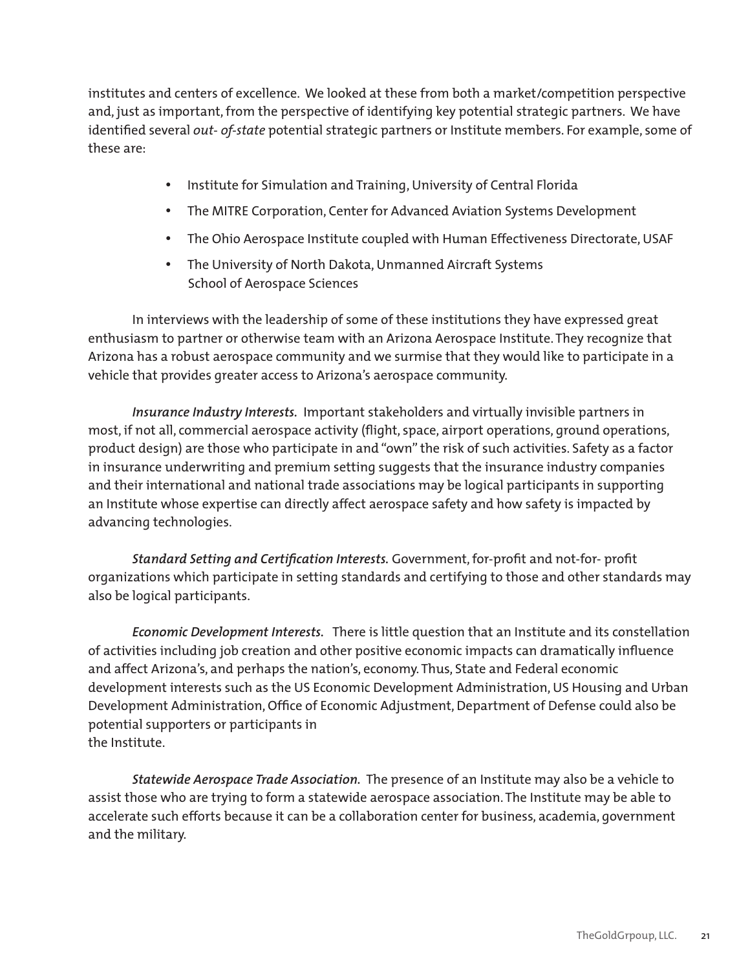institutes and centers of excellence. We looked at these from both a market/competition perspective and, just as important, from the perspective of identifying key potential strategic partners. We have identified several *out- of-state* potential strategic partners or Institute members. For example, some of these are:

- Institute for Simulation and Training, University of Central Florida
- The MITRE Corporation, Center for Advanced Aviation Systems Development
- The Ohio Aerospace Institute coupled with Human Effectiveness Directorate, USAF
- • The University of North Dakota, Unmanned Aircraft Systems School of Aerospace Sciences

In interviews with the leadership of some of these institutions they have expressed great enthusiasm to partner or otherwise team with an Arizona Aerospace Institute. They recognize that Arizona has a robust aerospace community and we surmise that they would like to participate in a vehicle that provides greater access to Arizona's aerospace community.

*Insurance Industry Interests.* Important stakeholders and virtually invisible partners in most, if not all, commercial aerospace activity (flight, space, airport operations, ground operations, product design) are those who participate in and "own" the risk of such activities. Safety as a factor in insurance underwriting and premium setting suggests that the insurance industry companies and their international and national trade associations may be logical participants in supporting an Institute whose expertise can directly affect aerospace safety and how safety is impacted by advancing technologies.

*Standard Setting and Certification Interests.* Government, for-profit and not-for- profit organizations which participate in setting standards and certifying to those and other standards may also be logical participants.

*Economic Development Interests.* There is little question that an Institute and its constellation of activities including job creation and other positive economic impacts can dramatically influence and affect Arizona's, and perhaps the nation's, economy. Thus, State and Federal economic development interests such as the US Economic Development Administration, US Housing and Urban Development Administration, Office of Economic Adjustment, Department of Defense could also be potential supporters or participants in the Institute.

*Statewide Aerospace Trade Association.* The presence of an Institute may also be a vehicle to assist those who are trying to form a statewide aerospace association. The Institute may be able to accelerate such efforts because it can be a collaboration center for business, academia, government and the military.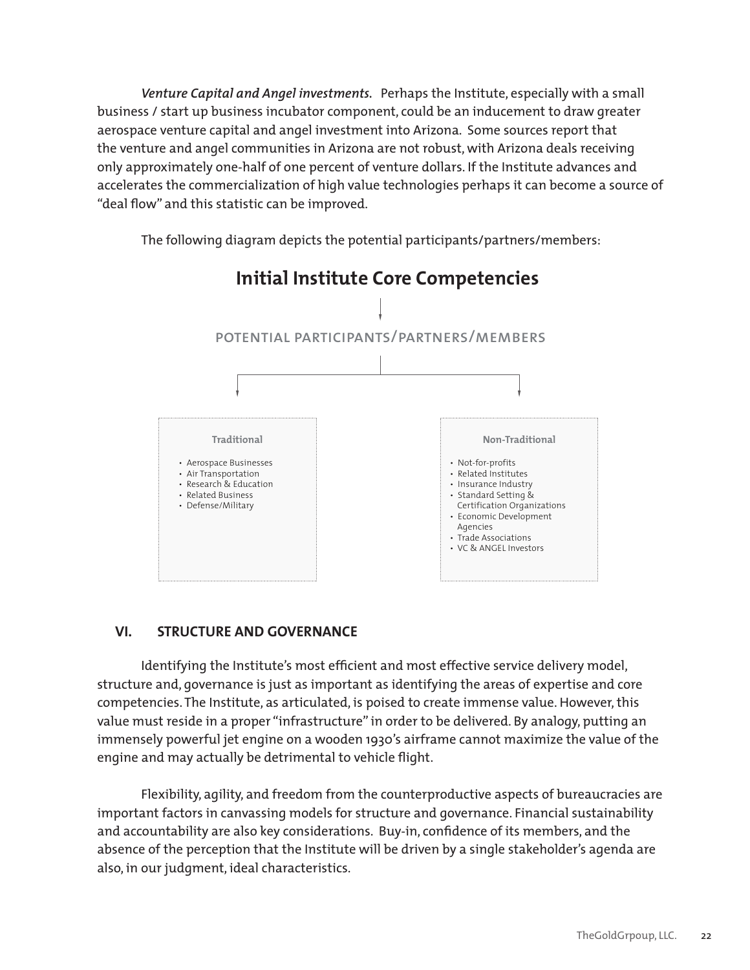*Venture Capital and Angel investments.* Perhaps the Institute, especially with a small business / start up business incubator component, could be an inducement to draw greater aerospace venture capital and angel investment into Arizona. Some sources report that the venture and angel communities in Arizona are not robust, with Arizona deals receiving only approximately one-half of one percent of venture dollars. If the Institute advances and accelerates the commercialization of high value technologies perhaps it can become a source of "deal flow" and this statistic can be improved.

The following diagram depicts the potential participants/partners/members:



### **VI. STRUCTURE AND GOVERNANCE**

Identifying the Institute's most efficient and most effective service delivery model, structure and, governance is just as important as identifying the areas of expertise and core competencies. The Institute, as articulated, is poised to create immense value. However, this value must reside in a proper "infrastructure" in order to be delivered. By analogy, putting an immensely powerful jet engine on a wooden 1930's airframe cannot maximize the value of the engine and may actually be detrimental to vehicle flight.

 Flexibility, agility, and freedom from the counterproductive aspects of bureaucracies are important factors in canvassing models for structure and governance. Financial sustainability and accountability are also key considerations. Buy-in, confidence of its members, and the absence of the perception that the Institute will be driven by a single stakeholder's agenda are also, in our judgment, ideal characteristics.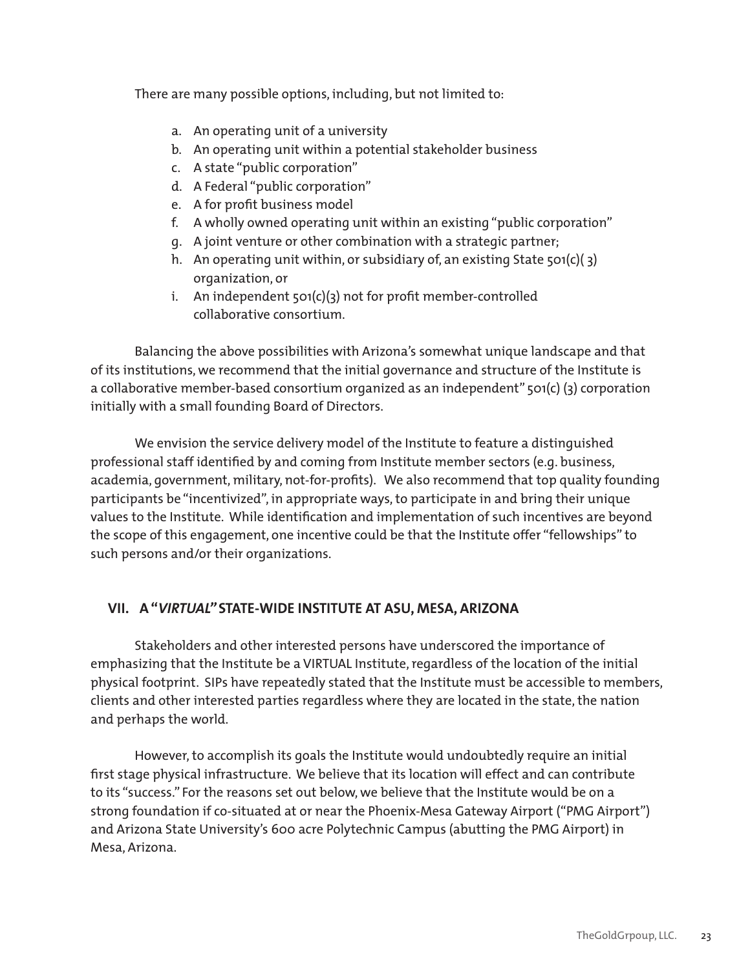There are many possible options, including, but not limited to:

- a. An operating unit of a university
- b. An operating unit within a potential stakeholder business
- c. A state "public corporation"
- d. A Federal "public corporation"
- e. A for profit business model
- f. A wholly owned operating unit within an existing "public corporation"
- g. A joint venture or other combination with a strategic partner;
- h. An operating unit within, or subsidiary of, an existing State 501(c)(3) organization, or
- i. An independent  $\mathfrak{so}_1(c)(3)$  not for profit member-controlled collaborative consortium.

Balancing the above possibilities with Arizona's somewhat unique landscape and that of its institutions, we recommend that the initial governance and structure of the Institute is a collaborative member-based consortium organized as an independent" 501(c) (3) corporation initially with a small founding Board of Directors.

We envision the service delivery model of the Institute to feature a distinguished professional staff identified by and coming from Institute member sectors (e.g. business, academia, government, military, not-for-profits). We also recommend that top quality founding participants be "incentivized", in appropriate ways, to participate in and bring their unique values to the Institute. While identification and implementation of such incentives are beyond the scope of this engagement, one incentive could be that the Institute offer "fellowships" to such persons and/or their organizations.

#### **VII. A "***VIRTUAL"* **STATE-WIDE INSTITUTE AT ASU, MESA, ARIZONA**

Stakeholders and other interested persons have underscored the importance of emphasizing that the Institute be a VIRTUAL Institute, regardless of the location of the initial physical footprint. SIPs have repeatedly stated that the Institute must be accessible to members, clients and other interested parties regardless where they are located in the state, the nation and perhaps the world.

However, to accomplish its goals the Institute would undoubtedly require an initial first stage physical infrastructure. We believe that its location will effect and can contribute to its "success." For the reasons set out below, we believe that the Institute would be on a strong foundation if co-situated at or near the Phoenix-Mesa Gateway Airport ("PMG Airport") and Arizona State University's 600 acre Polytechnic Campus (abutting the PMG Airport) in Mesa, Arizona.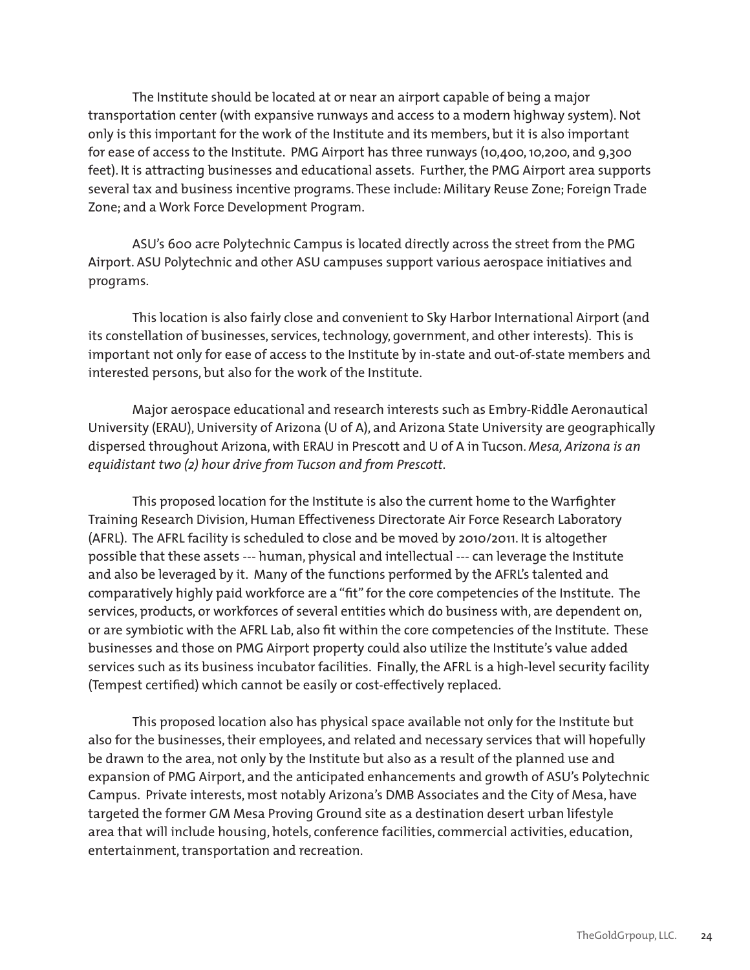The Institute should be located at or near an airport capable of being a major transportation center (with expansive runways and access to a modern highway system). Not only is this important for the work of the Institute and its members, but it is also important for ease of access to the Institute. PMG Airport has three runways (10,400, 10,200, and 9,300 feet). It is attracting businesses and educational assets. Further, the PMG Airport area supports several tax and business incentive programs. These include: Military Reuse Zone; Foreign Trade Zone; and a Work Force Development Program.

ASU's 600 acre Polytechnic Campus is located directly across the street from the PMG Airport. ASU Polytechnic and other ASU campuses support various aerospace initiatives and programs.

This location is also fairly close and convenient to Sky Harbor International Airport (and its constellation of businesses, services, technology, government, and other interests). This is important not only for ease of access to the Institute by in-state and out-of-state members and interested persons, but also for the work of the Institute.

Major aerospace educational and research interests such as Embry-Riddle Aeronautical University (ERAU), University of Arizona (U of A), and Arizona State University are geographically dispersed throughout Arizona, with ERAU in Prescott and U of A in Tucson. *Mesa, Arizona is an* equidistant two (2) hour drive from Tucson and from Prescott.

This proposed location for the Institute is also the current home to the Warfighter Training Research Division, Human Effectiveness Directorate Air Force Research Laboratory (AFRL). The AFRL facility is scheduled to close and be moved by 2010/2011. It is altogether possible that these assets --- human, physical and intellectual --- can leverage the Institute and also be leveraged by it. Many of the functions performed by the AFRL's talented and comparatively highly paid workforce are a "fit" for the core competencies of the Institute. The services, products, or workforces of several entities which do business with, are dependent on, or are symbiotic with the AFRL Lab, also fit within the core competencies of the Institute. These businesses and those on PMG Airport property could also utilize the Institute's value added services such as its business incubator facilities. Finally, the AFRL is a high-level security facility (Tempest certified) which cannot be easily or cost-effectively replaced.

This proposed location also has physical space available not only for the Institute but also for the businesses, their employees, and related and necessary services that will hopefully be drawn to the area, not only by the Institute but also as a result of the planned use and expansion of PMG Airport, and the anticipated enhancements and growth of ASU's Polytechnic Campus. Private interests, most notably Arizona's DMB Associates and the City of Mesa, have targeted the former GM Mesa Proving Ground site as a destination desert urban lifestyle area that will include housing, hotels, conference facilities, commercial activities, education, entertainment, transportation and recreation.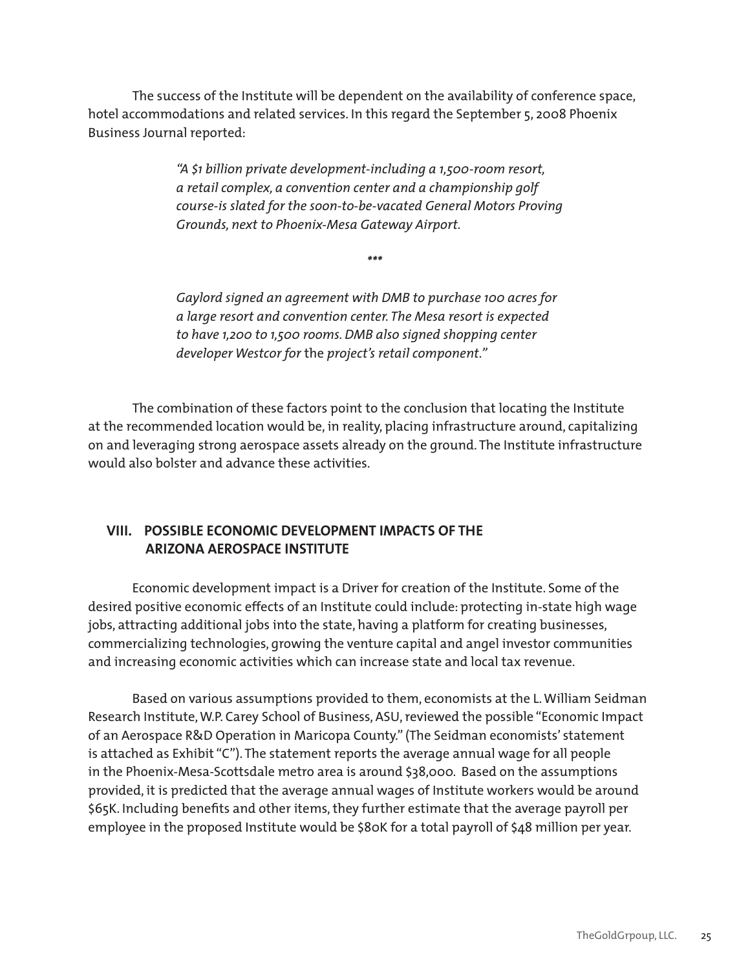The success of the Institute will be dependent on the availability of conference space, hotel accommodations and related services. In this regard the September 5, 2008 Phoenix Business Journal reported:

> *"A \$1 billion private development-including a 1,500-room resort,*  a retail complex, a convention center and a championship qolf course-is slated for the soon-to-be-vacated General Motors Proving Grounds, next to Phoenix-Mesa Gateway Airport.

> > *\*\*\**

Gaylord signed an agreement with DMB to purchase 100 acres for a large resort and convention center. The Mesa resort is expected to have 1,200 to 1,500 rooms. DMB also signed shopping center *developer Westcor for* the *project's retail component."*

The combination of these factors point to the conclusion that locating the Institute at the recommended location would be, in reality, placing infrastructure around, capitalizing on and leveraging strong aerospace assets already on the ground. The Institute infrastructure would also bolster and advance these activities.

#### **VIII. POSSIBLE ECONOMIC DEVELOPMENT IMPACTS OF THE ARIZONA AEROSPACE INSTITUTE**

Economic development impact is a Driver for creation of the Institute. Some of the desired positive economic effects of an Institute could include: protecting in-state high wage jobs, attracting additional jobs into the state, having a platform for creating businesses, commercializing technologies, growing the venture capital and angel investor communities and increasing economic activities which can increase state and local tax revenue.

Based on various assumptions provided to them, economists at the L. William Seidman Research Institute, W.P. Carey School of Business, ASU, reviewed the possible "Economic Impact of an Aerospace R&D Operation in Maricopa County." (The Seidman economists' statement is attached as Exhibit "C"). The statement reports the average annual wage for all people in the Phoenix-Mesa-Scottsdale metro area is around \$38,000. Based on the assumptions provided, it is predicted that the average annual wages of Institute workers would be around \$65K. Including benefits and other items, they further estimate that the average payroll per employee in the proposed Institute would be \$80K for a total payroll of \$48 million per year.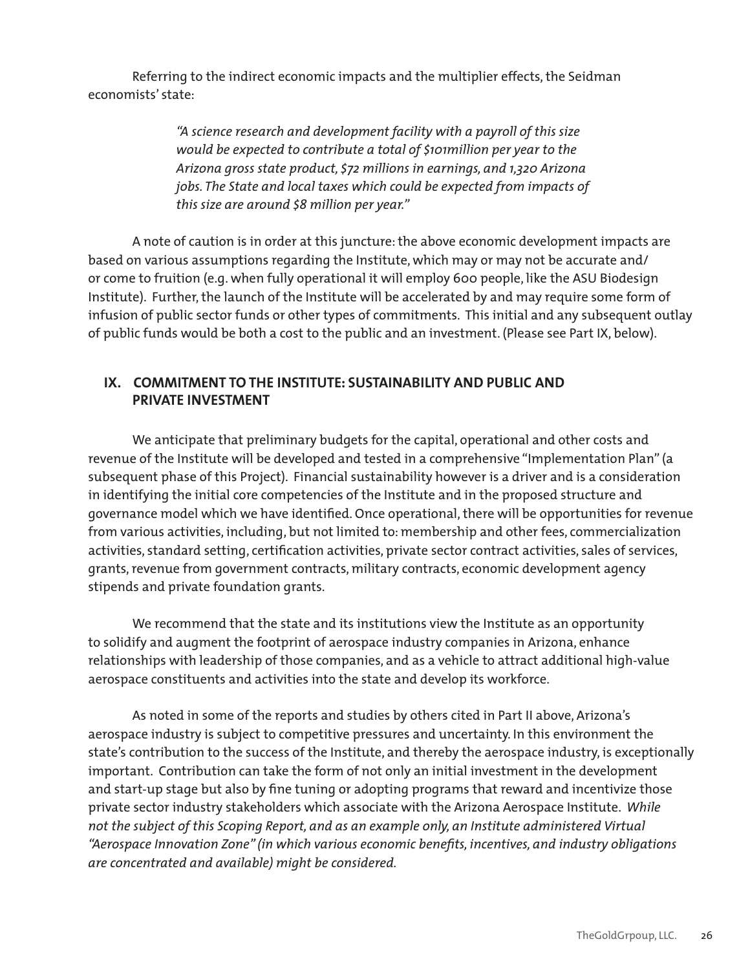Referring to the indirect economic impacts and the multiplier effects, the Seidman economists' state:

> "A science research and development facility with a payroll of this size *would be expected to contribute a total of \$101million per year to the* Arizona gross state product, \$72 millions in earnings, and 1,320 Arizona jobs. The State and local taxes which could be expected from impacts of this size are around \$8 million per year."

A note of caution is in order at this juncture: the above economic development impacts are based on various assumptions regarding the Institute, which may or may not be accurate and/ or come to fruition (e.g. when fully operational it will employ 600 people, like the ASU Biodesign Institute). Further, the launch of the Institute will be accelerated by and may require some form of infusion of public sector funds or other types of commitments. This initial and any subsequent outlay of public funds would be both a cost to the public and an investment. (Please see Part IX, below).

#### **IX. COMMITMENT TO THE INSTITUTE: SUSTAINABILITY AND PUBLIC AND PRIVATE INVESTMENT**

We anticipate that preliminary budgets for the capital, operational and other costs and revenue of the Institute will be developed and tested in a comprehensive "Implementation Plan" (a subsequent phase of this Project). Financial sustainability however is a driver and is a consideration in identifying the initial core competencies of the Institute and in the proposed structure and governance model which we have identified. Once operational, there will be opportunities for revenue from various activities, including, but not limited to: membership and other fees, commercialization activities, standard setting, certification activities, private sector contract activities, sales of services, grants, revenue from government contracts, military contracts, economic development agency stipends and private foundation grants.

We recommend that the state and its institutions view the Institute as an opportunity to solidify and augment the footprint of aerospace industry companies in Arizona, enhance relationships with leadership of those companies, and as a vehicle to attract additional high-value aerospace constituents and activities into the state and develop its workforce.

As noted in some of the reports and studies by others cited in Part II above, Arizona's aerospace industry is subject to competitive pressures and uncertainty. In this environment the state's contribution to the success of the Institute, and thereby the aerospace industry, is exceptionally important. Contribution can take the form of not only an initial investment in the development and start-up stage but also by fine tuning or adopting programs that reward and incentivize those private sector industry stakeholders which associate with the Arizona Aerospace Institute. While not the subject of this Scoping Report, and as an example only, an Institute administered Virtual "Aerospace Innovation Zone" (in which various economic benefits, incentives, and industry obligations are concentrated and available) might be considered.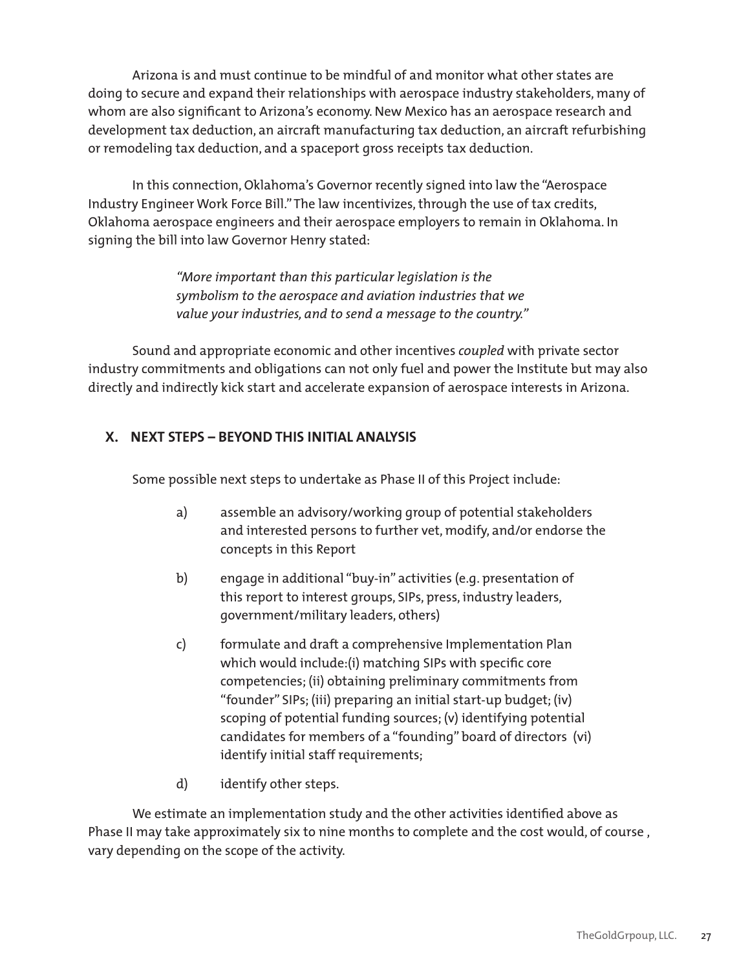Arizona is and must continue to be mindful of and monitor what other states are doing to secure and expand their relationships with aerospace industry stakeholders, many of whom are also significant to Arizona's economy. New Mexico has an aerospace research and development tax deduction, an aircraft manufacturing tax deduction, an aircraft refurbishing or remodeling tax deduction, and a spaceport gross receipts tax deduction.

In this connection, Oklahoma's Governor recently signed into law the "Aerospace Industry Engineer Work Force Bill." The law incentivizes, through the use of tax credits, Oklahoma aerospace engineers and their aerospace employers to remain in Oklahoma. In signing the bill into law Governor Henry stated:

> "More *important than this particular legislation* is the symbolism to the aerospace and aviation industries that we value your industries, and to send a message to the country."

Sound and appropriate economic and other incentives *coupled* with private sector industry commitments and obligations can not only fuel and power the Institute but may also directly and indirectly kick start and accelerate expansion of aerospace interests in Arizona.

### **X. NEXT STEPS – BEYOND THIS INITIAL ANALYSIS**

Some possible next steps to undertake as Phase II of this Project include:

- a) assemble an advisory/working group of potential stakeholders and interested persons to further vet, modify, and/or endorse the concepts in this Report
- b) engage in additional "buy-in" activities (e.g. presentation of this report to interest groups, SIPs, press, industry leaders, government/military leaders, others)
- c) formulate and draft a comprehensive Implementation Plan which would include:(i) matching SIPs with specific core competencies; (ii) obtaining preliminary commitments from "founder" SIPs; (iii) preparing an initial start-up budget; (iv) scoping of potential funding sources; (v) identifying potential candidates for members of a "founding" board of directors (vi) identify initial staff requirements;
- d) identify other steps.

We estimate an implementation study and the other activities identified above as Phase II may take approximately six to nine months to complete and the cost would, of course , vary depending on the scope of the activity.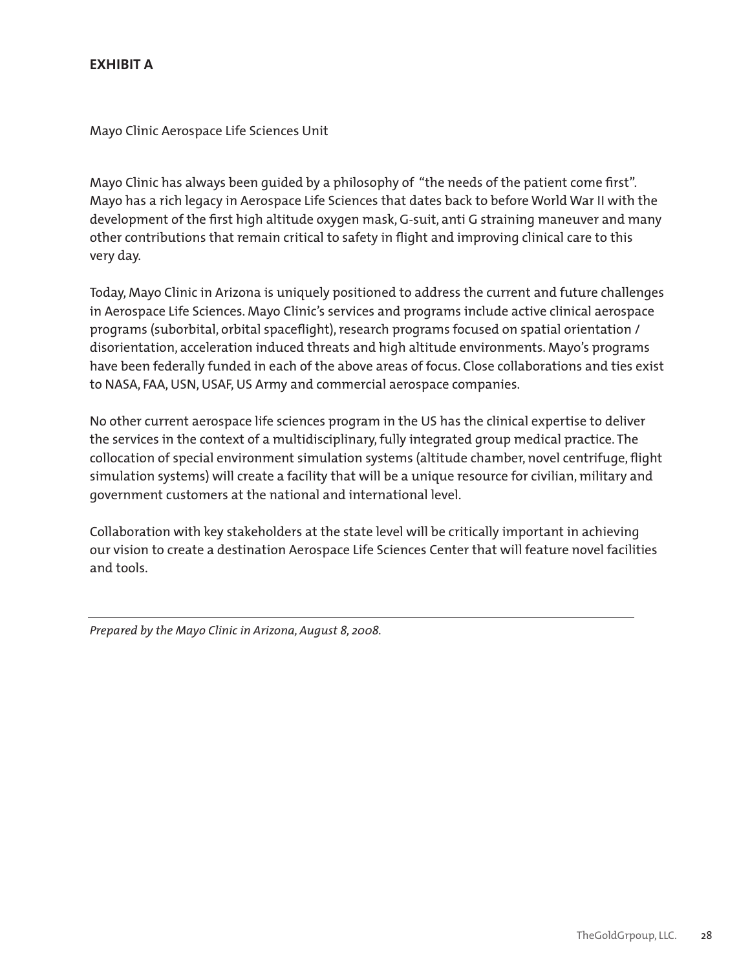### **EXHIBIT A**

Mayo Clinic Aerospace Life Sciences Unit

Mayo Clinic has always been guided by a philosophy of "the needs of the patient come first". Mayo has a rich legacy in Aerospace Life Sciences that dates back to before World War II with the development of the first high altitude oxygen mask, G-suit, anti G straining maneuver and many other contributions that remain critical to safety in flight and improving clinical care to this very day.

Today, Mayo Clinic in Arizona is uniquely positioned to address the current and future challenges in Aerospace Life Sciences. Mayo Clinic's services and programs include active clinical aerospace programs (suborbital, orbital spaceflight), research programs focused on spatial orientation / disorientation, acceleration induced threats and high altitude environments. Mayo's programs have been federally funded in each of the above areas of focus. Close collaborations and ties exist to NASA, FAA, USN, USAF, US Army and commercial aerospace companies.

No other current aerospace life sciences program in the US has the clinical expertise to deliver the services in the context of a multidisciplinary, fully integrated group medical practice. The collocation of special environment simulation systems (altitude chamber, novel centrifuge, flight simulation systems) will create a facility that will be a unique resource for civilian, military and government customers at the national and international level.

Collaboration with key stakeholders at the state level will be critically important in achieving our vision to create a destination Aerospace Life Sciences Center that will feature novel facilities and tools.

*Prepared by the Mayo Clinic in Arizona, August 8, 2008.*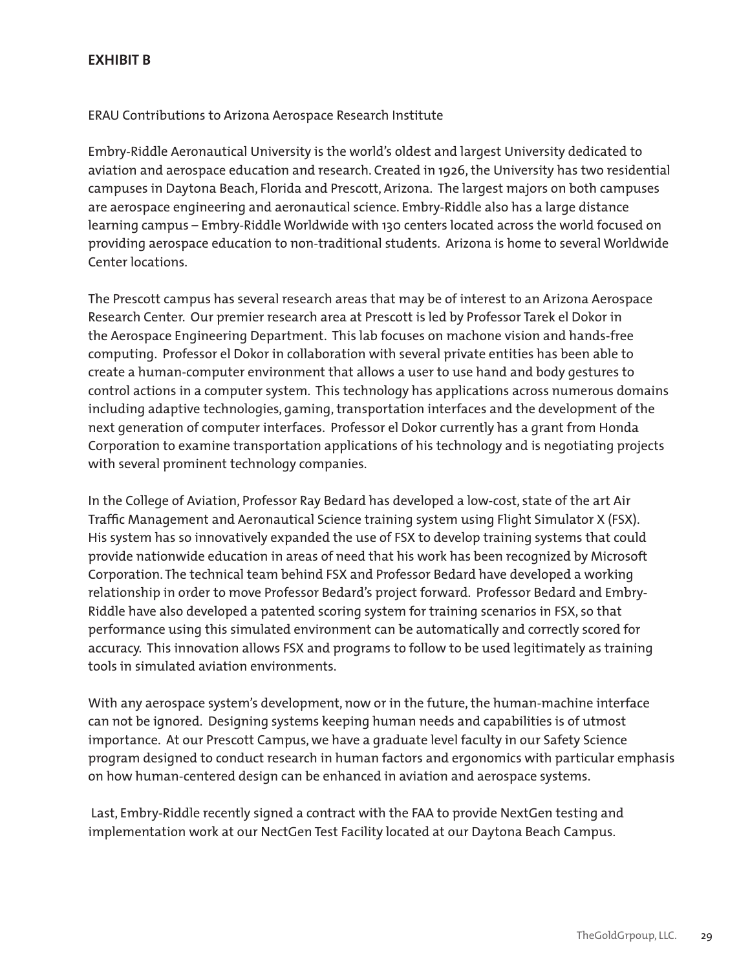#### **EXHIBIT B**

#### ERAU Contributions to Arizona Aerospace Research Institute

Embry-Riddle Aeronautical University is the world's oldest and largest University dedicated to aviation and aerospace education and research. Created in 1926, the University has two residential campuses in Daytona Beach, Florida and Prescott, Arizona. The largest majors on both campuses are aerospace engineering and aeronautical science. Embry-Riddle also has a large distance learning campus – Embry-Riddle Worldwide with 130 centers located across the world focused on providing aerospace education to non-traditional students. Arizona is home to several Worldwide Center locations.

The Prescott campus has several research areas that may be of interest to an Arizona Aerospace Research Center. Our premier research area at Prescott is led by Professor Tarek el Dokor in the Aerospace Engineering Department. This lab focuses on machone vision and hands-free computing. Professor el Dokor in collaboration with several private entities has been able to create a human-computer environment that allows a user to use hand and body gestures to control actions in a computer system. This technology has applications across numerous domains including adaptive technologies, gaming, transportation interfaces and the development of the next generation of computer interfaces. Professor el Dokor currently has a grant from Honda Corporation to examine transportation applications of his technology and is negotiating projects with several prominent technology companies.

In the College of Aviation, Professor Ray Bedard has developed a low-cost, state of the art Air Traffic Management and Aeronautical Science training system using Flight Simulator X (FSX). His system has so innovatively expanded the use of FSX to develop training systems that could provide nationwide education in areas of need that his work has been recognized by Microsoft Corporation. The technical team behind FSX and Professor Bedard have developed a working relationship in order to move Professor Bedard's project forward. Professor Bedard and Embry-Riddle have also developed a patented scoring system for training scenarios in FSX, so that performance using this simulated environment can be automatically and correctly scored for accuracy. This innovation allows FSX and programs to follow to be used legitimately as training tools in simulated aviation environments.

With any aerospace system's development, now or in the future, the human-machine interface can not be ignored. Designing systems keeping human needs and capabilities is of utmost importance. At our Prescott Campus, we have a graduate level faculty in our Safety Science program designed to conduct research in human factors and ergonomics with particular emphasis on how human-centered design can be enhanced in aviation and aerospace systems.

 Last, Embry-Riddle recently signed a contract with the FAA to provide NextGen testing and implementation work at our NectGen Test Facility located at our Daytona Beach Campus.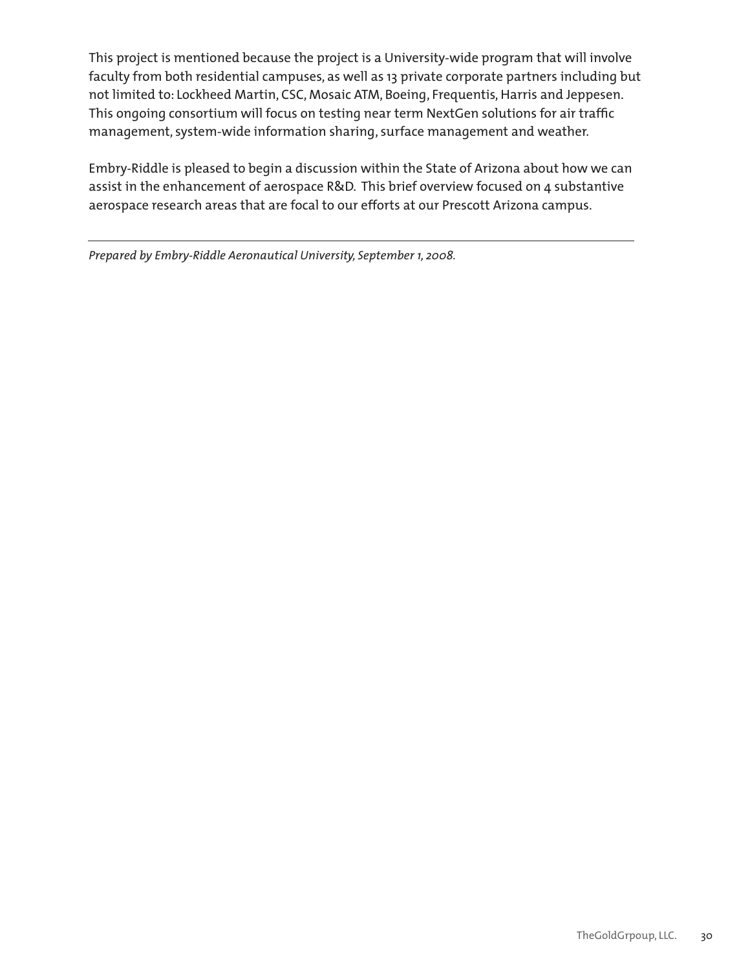This project is mentioned because the project is a University-wide program that will involve faculty from both residential campuses, as well as 13 private corporate partners including but not limited to: Lockheed Martin, CSC, Mosaic ATM, Boeing, Frequentis, Harris and Jeppesen. This ongoing consortium will focus on testing near term NextGen solutions for air traffic management, system-wide information sharing, surface management and weather.

Embry-Riddle is pleased to begin a discussion within the State of Arizona about how we can assist in the enhancement of aerospace R&D. This brief overview focused on 4 substantive aerospace research areas that are focal to our efforts at our Prescott Arizona campus.

Prepared by Embry-Riddle Aeronautical University, September 1, 2008.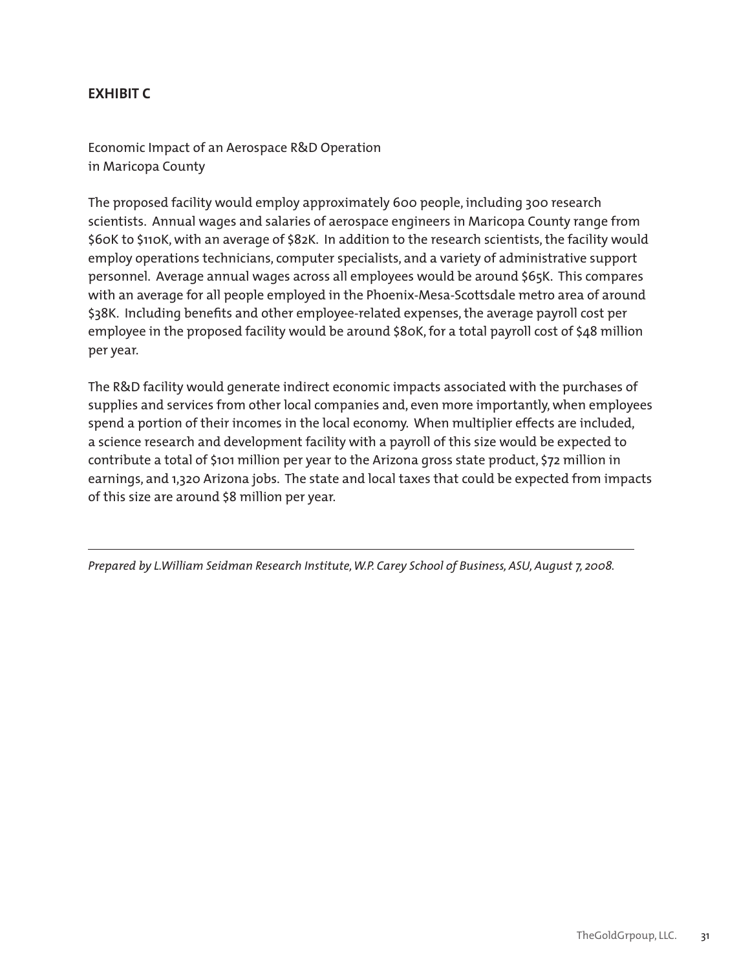### **EXHIBIT C**

Economic Impact of an Aerospace R&D Operation in Maricopa County

The proposed facility would employ approximately 600 people, including 300 research scientists. Annual wages and salaries of aerospace engineers in Maricopa County range from \$60K to \$110K, with an average of \$82K. In addition to the research scientists, the facility would employ operations technicians, computer specialists, and a variety of administrative support personnel. Average annual wages across all employees would be around \$65K. This compares with an average for all people employed in the Phoenix-Mesa-Scottsdale metro area of around \$38K. Including benefits and other employee-related expenses, the average payroll cost per employee in the proposed facility would be around \$80K, for a total payroll cost of \$48 million per year.

The R&D facility would generate indirect economic impacts associated with the purchases of supplies and services from other local companies and, even more importantly, when employees spend a portion of their incomes in the local economy. When multiplier effects are included, a science research and development facility with a payroll of this size would be expected to contribute a total of \$101 million per year to the Arizona gross state product, \$72 million in earnings, and 1,320 Arizona jobs. The state and local taxes that could be expected from impacts of this size are around \$8 million per year.

*Prepared by L.William Seidman Research Institute, W.P. Carey School of Business, ASU, August 7, 2008.*